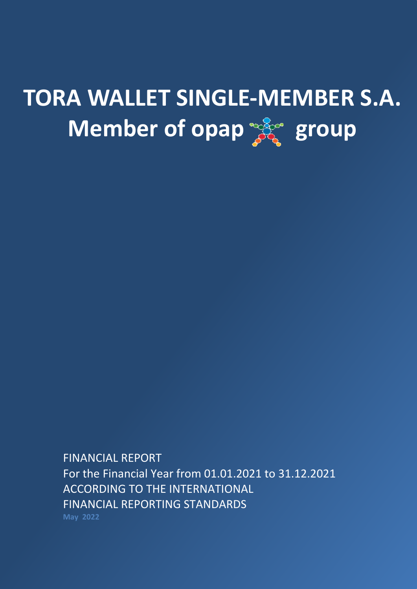# **TORA WALLET SINGLE-MEMBER S.A. Member of opap**  $\frac{1}{2}$  **group**

FINANCIAL REPORT For the Financial Year from 01.01.2021 to 31.12.2021 ACCORDING TO THE INTERNATIONAL FINANCIAL REPORTING STANDARDS **May 2022**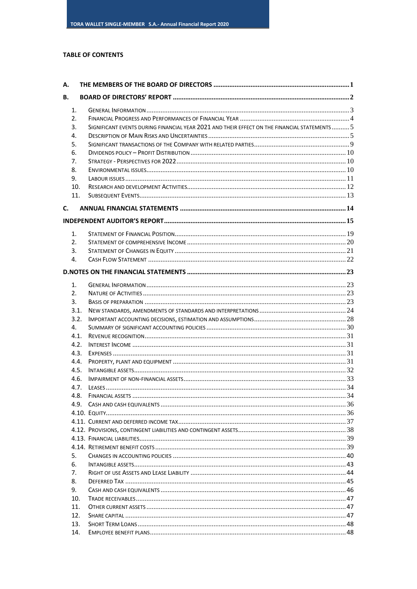# **TABLE OF CONTENTS**

| Α.        |                                                                                               |  |
|-----------|-----------------------------------------------------------------------------------------------|--|
| <b>B.</b> |                                                                                               |  |
| 1.        |                                                                                               |  |
| 2.        |                                                                                               |  |
| 3.        | SIGNIFICANT EVENTS DURING FINANCIAL YEAR 2021 AND THEIR EFFECT ON THE FINANCIAL STATEMENTS  5 |  |
| 4.        |                                                                                               |  |
| 5.        |                                                                                               |  |
| 6.        |                                                                                               |  |
| 7.        |                                                                                               |  |
| 8.        |                                                                                               |  |
| 9.        |                                                                                               |  |
| 10.       |                                                                                               |  |
| 11.       |                                                                                               |  |
|           |                                                                                               |  |
| C.        |                                                                                               |  |
|           |                                                                                               |  |
| 1.        |                                                                                               |  |
| 2.        |                                                                                               |  |
| 3.        |                                                                                               |  |
| 4.        |                                                                                               |  |
|           |                                                                                               |  |
|           |                                                                                               |  |
| 1.        |                                                                                               |  |
| 2.        |                                                                                               |  |
| 3.        |                                                                                               |  |
| 3.1.      |                                                                                               |  |
| 3.2.      |                                                                                               |  |
| 4.        |                                                                                               |  |
| 4.1.      |                                                                                               |  |
| 4.2.      |                                                                                               |  |
| 4.3.      |                                                                                               |  |
| 4.4.      |                                                                                               |  |
| 4.5.      |                                                                                               |  |
| 4.6.      |                                                                                               |  |
|           | 4.7.                                                                                          |  |
| 4.8.      |                                                                                               |  |
|           | 4.9.                                                                                          |  |
|           |                                                                                               |  |
|           |                                                                                               |  |
|           |                                                                                               |  |
|           |                                                                                               |  |
|           |                                                                                               |  |
| 5.        |                                                                                               |  |
| 6.        |                                                                                               |  |
| 7.        |                                                                                               |  |
| 8.        |                                                                                               |  |
| 9.        |                                                                                               |  |
| 10.       |                                                                                               |  |
| 11.       |                                                                                               |  |
| 12.       |                                                                                               |  |
| 13.       |                                                                                               |  |
| 14.       |                                                                                               |  |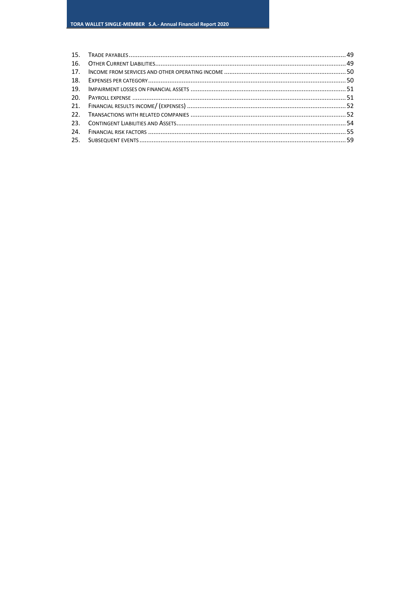| 17 <sub>1</sub> |  |
|-----------------|--|
|                 |  |
| 19.             |  |
|                 |  |
|                 |  |
|                 |  |
|                 |  |
| 24              |  |
|                 |  |
|                 |  |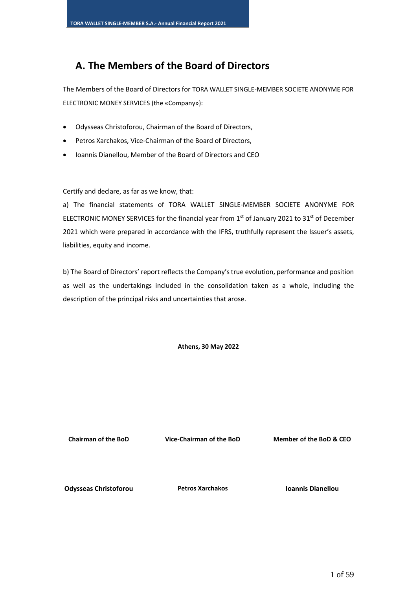# <span id="page-3-0"></span>**A. The Members of the Board of Directors**

The Members of the Board of Directors for TORA WALLET SINGLE-MEMBER SOCIETE ANONYME FOR ELECTRONIC MONEY SERVICES (the «Company»):

- Odysseas Christoforou, Chairman of the Board of Directors,
- Petros Xarchakos, Vice-Chairman of the Board of Directors,
- Ioannis Dianellou, Member of the Board of Directors and CEO

Certify and declare, as far as we know, that:

a) The financial statements of TORA WALLET SINGLE-MEMBER SOCIETE ANONYME FOR ELECTRONIC MONEY SERVICES for the financial year from  $1<sup>st</sup>$  of January 2021 to 31 $<sup>st</sup>$  of December</sup> 2021 which were prepared in accordance with the IFRS, truthfully represent the Issuer's assets, liabilities, equity and income.

b) The Board of Directors' report reflects the Company's true evolution, performance and position as well as the undertakings included in the consolidation taken as a whole, including the description of the principal risks and uncertainties that arose.

**Athens, 30 May 2022**

**Chairman of the BoD Vice-Chairman of the BoD Member of the BoD & CEO** 

**Odysseas Christoforou Petros Xarchakos Ioannis Dianellou**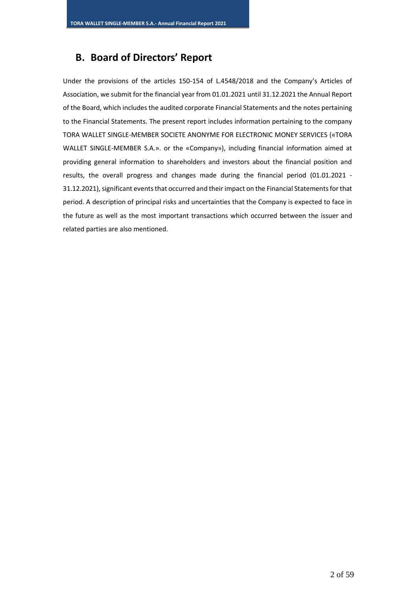# <span id="page-4-0"></span>**B. Board of Directors' Report**

Under the provisions of the articles 150-154 of L.4548/2018 and the Company's Articles of Association, we submit for the financial year from 01.01.2021 until 31.12.2021 the Annual Report of the Board, which includes the audited corporate Financial Statements and the notes pertaining to the Financial Statements. The present report includes information pertaining to the company TORA WALLET SINGLE-MEMBER SOCIETE ANONYME FOR ELECTRONIC MONEY SERVICES («TORA WALLET SINGLE-MEMBER S.A.». or the «Company»), including financial information aimed at providing general information to shareholders and investors about the financial position and results, the overall progress and changes made during the financial period (01.01.2021 - 31.12.2021), significant events that occurred and their impact on the Financial Statements for that period. A description of principal risks and uncertainties that the Company is expected to face in the future as well as the most important transactions which occurred between the issuer and related parties are also mentioned.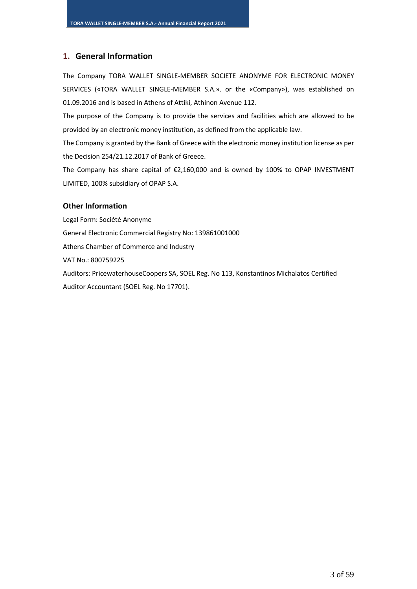# <span id="page-5-0"></span>**1. General Information**

The Company TORA WALLET SINGLE-MEMBER SOCIETE ANONYME FOR ELECTRONIC MONEY SERVICES («TORA WALLET SINGLE-MEMBER S.A.». or the «Company»), was established on 01.09.2016 and is based in Athens of Attiki, Athinon Avenue 112.

The purpose of the Company is to provide the services and facilities which are allowed to be provided by an electronic money institution, as defined from the applicable law.

The Company is granted by the Bank of Greece with the electronic money institution license as per the Decision 254/21.12.2017 of Bank of Greece.

The Company has share capital of €2,160,000 and is owned by 100% to OPAP INVESTMENT LIMITED, 100% subsidiary of OPAP S.A.

## **Other Information**

Legal Form: Société Anonyme General Electronic Commercial Registry No: 139861001000 Athens Chamber of Commerce and Industry VAT No.: 800759225 Auditors: PricewaterhouseCoopers SA, SOEL Reg. No 113, Konstantinos Michalatos Certified Auditor Accountant (SOEL Reg. No 17701).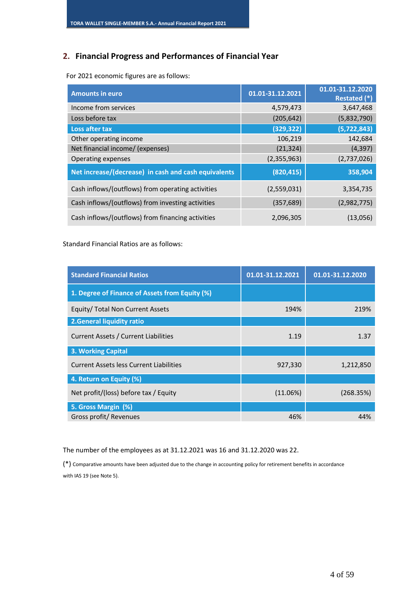# <span id="page-6-0"></span>**2. Financial Progress and Performances of Financial Year**

For 2021 economic figures are as follows:

| <b>Amounts in euro</b>                               | 01.01-31.12.2021 | 01.01-31.12.2020<br>Restated (*) |
|------------------------------------------------------|------------------|----------------------------------|
| Income from services                                 | 4,579,473        | 3,647,468                        |
| Loss before tax                                      | (205, 642)       | (5,832,790)                      |
| Loss after tax                                       | (329, 322)       | (5, 722, 843)                    |
| Other operating income                               | 106,219          | 142,684                          |
| Net financial income/ (expenses)                     | (21, 324)        | (4, 397)                         |
| Operating expenses                                   | (2,355,963)      | (2,737,026)                      |
| Net increase/(decrease) in cash and cash equivalents | (820, 415)       | 358,904                          |
| Cash inflows/(outflows) from operating activities    | (2,559,031)      | 3,354,735                        |
| Cash inflows/(outflows) from investing activities    | (357, 689)       | (2,982,775)                      |
| Cash inflows/(outflows) from financing activities    | 2,096,305        | (13,056)                         |

Standard Financial Ratios are as follows:

| <b>Standard Financial Ratios</b>               | 01.01-31.12.2021 | 01.01-31.12.2020 |
|------------------------------------------------|------------------|------------------|
| 1. Degree of Finance of Assets from Equity (%) |                  |                  |
| Equity/ Total Non Current Assets               | 194%             | 219%             |
| <b>2.General liquidity ratio</b>               |                  |                  |
| Current Assets / Current Liabilities           | 1.19             | 1.37             |
| 3. Working Capital                             |                  |                  |
| Current Assets less Current Liabilities        | 927,330          | 1,212,850        |
| 4. Return on Equity (%)                        |                  |                  |
| Net profit/(loss) before tax / Equity          | (11.06%)         | (268.35%)        |
| 5. Gross Margin (%)                            |                  |                  |
| Gross profit/ Revenues                         | 46%              | 44%              |

The number of the employees as at 31.12.2021 was 16 and 31.12.2020 was 22.

(\*) Comparative amounts have been adjusted due to the change in accounting policy for retirement benefits in accordance with IAS 19 (see Note 5).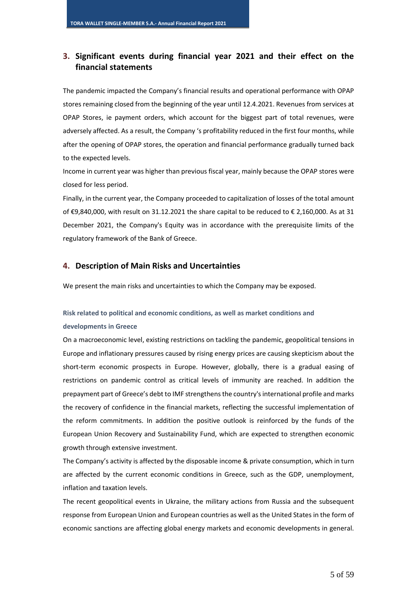# <span id="page-7-0"></span>**3. Significant events during financial year 2021 and their effect on the financial statements**

The pandemic impacted the Company's financial results and operational performance with OPAP stores remaining closed from the beginning of the year until 12.4.2021. Revenues from services at OPAP Stores, ie payment orders, which account for the biggest part of total revenues, were adversely affected. As a result, the Company 's profitability reduced in the first four months, while after the opening of OPAP stores, the operation and financial performance gradually turned back to the expected levels.

Income in current year was higher than previous fiscal year, mainly because the OPAP stores were closed for less period.

Finally, in the current year, the Company proceeded to capitalization of losses of the total amount of €9,840,000, with result on 31.12.2021 the share capital to be reduced to € 2,160,000. As at 31 December 2021, the Company's Equity was in accordance with the prerequisite limits of the regulatory framework of the Bank of Greece.

# <span id="page-7-1"></span>**4. Description of Main Risks and Uncertainties**

We present the main risks and uncertainties to which the Company may be exposed.

#### **Risk related to political and economic conditions, as well as market conditions and**

#### **developments in Greece**

On a macroeconomic level, existing restrictions on tackling the pandemic, geopolitical tensions in Europe and inflationary pressures caused by rising energy prices are causing skepticism about the short-term economic prospects in Europe. However, globally, there is a gradual easing of restrictions on pandemic control as critical levels of immunity are reached. In addition the prepayment part of Greece's debt to IMF strengthens the country's international profile and marks the recovery of confidence in the financial markets, reflecting the successful implementation of the reform commitments. In addition the positive outlook is reinforced by the funds of the European Union Recovery and Sustainability Fund, which are expected to strengthen economic growth through extensive investment.

The Company's activity is affected by the disposable income & private consumption, which in turn are affected by the current economic conditions in Greece, such as the GDP, unemployment, inflation and taxation levels.

The recent geopolitical events in Ukraine, the military actions from Russia and the subsequent response from European Union and European countries as well as the United States in the form of economic sanctions are affecting global energy markets and economic developments in general.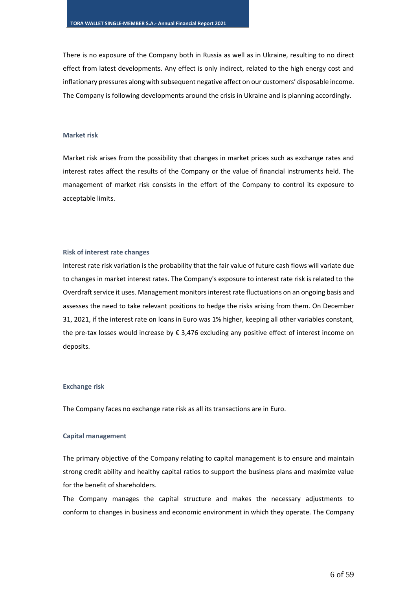There is no exposure of the Company both in Russia as well as in Ukraine, resulting to no direct effect from latest developments. Any effect is only indirect, related to the high energy cost and inflationary pressures along with subsequent negative affect on our customers' disposable income. The Company is following developments around the crisis in Ukraine and is planning accordingly.

#### **Market risk**

Market risk arises from the possibility that changes in market prices such as exchange rates and interest rates affect the results of the Company or the value of financial instruments held. The management of market risk consists in the effort of the Company to control its exposure to acceptable limits.

#### **Risk of interest rate changes**

Interest rate risk variation is the probability that the fair value of future cash flows will variate due to changes in market interest rates. The Company's exposure to interest rate risk is related to the Overdraft service it uses. Management monitors interest rate fluctuations on an ongoing basis and assesses the need to take relevant positions to hedge the risks arising from them. On December 31, 2021, if the interest rate on loans in Euro was 1% higher, keeping all other variables constant, the pre-tax losses would increase by € 3,476 excluding any positive effect of interest income on deposits.

#### **Exchange risk**

The Company faces no exchange rate risk as all its transactions are in Euro.

#### **Capital management**

The primary objective of the Company relating to capital management is to ensure and maintain strong credit ability and healthy capital ratios to support the business plans and maximize value for the benefit of shareholders.

The Company manages the capital structure and makes the necessary adjustments to conform to changes in business and economic environment in which they operate. The Company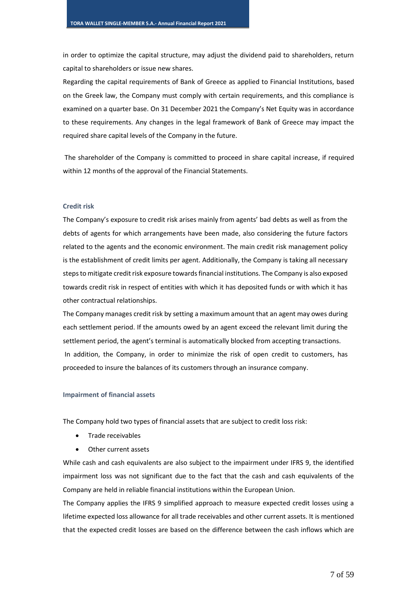in order to optimize the capital structure, may adjust the dividend paid to shareholders, return capital to shareholders or issue new shares.

Regarding the capital requirements of Bank of Greece as applied to Financial Institutions, based on the Greek law, the Company must comply with certain requirements, and this compliance is examined on a quarter base. On 31 December 2021 the Company's Net Equity was in accordance to these requirements. Any changes in the legal framework of Bank of Greece may impact the required share capital levels of the Company in the future.

The shareholder of the Company is committed to proceed in share capital increase, if required within 12 months of the approval of the Financial Statements.

#### **Credit risk**

The Company's exposure to credit risk arises mainly from agents' bad debts as well as from the debts of agents for which arrangements have been made, also considering the future factors related to the agents and the economic environment. The main credit risk management policy is the establishment of credit limits per agent. Additionally, the Company is taking all necessary steps to mitigate credit risk exposure towards financial institutions. The Company is also exposed towards credit risk in respect of entities with which it has deposited funds or with which it has other contractual relationships.

The Company manages credit risk by setting a maximum amount that an agent may owes during each settlement period. If the amounts owed by an agent exceed the relevant limit during the settlement period, the agent's terminal is automatically blocked from accepting transactions. In addition, the Company, in order to minimize the risk of open credit to customers, has proceeded to insure the balances of its customers through an insurance company.

## **Impairment of financial assets**

The Company hold two types of financial assets that are subject to credit loss risk:

- Trade receivables
- Other current assets

While cash and cash equivalents are also subject to the impairment under IFRS 9, the identified impairment loss was not significant due to the fact that the cash and cash equivalents of the Company are held in reliable financial institutions within the European Union.

The Company applies the IFRS 9 simplified approach to measure expected credit losses using a lifetime expected loss allowance for all trade receivables and other current assets. It is mentioned that the expected credit losses are based on the difference between the cash inflows which are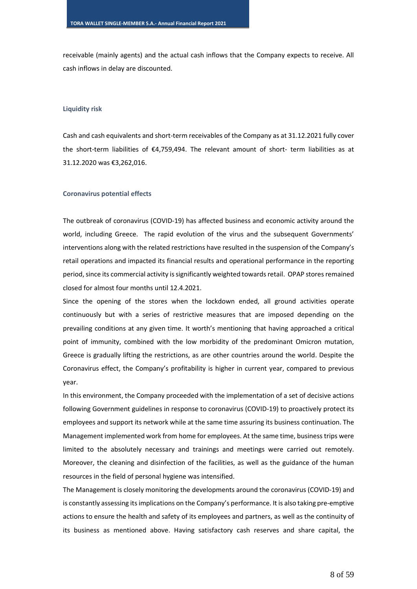receivable (mainly agents) and the actual cash inflows that the Company expects to receive. All cash inflows in delay are discounted.

#### **Liquidity risk**

Cash and cash equivalents and short-term receivables of the Company as at 31.12.2021 fully cover the short-term liabilities of €4,759,494. The relevant amount of short- term liabilities as at 31.12.2020 was €3,262,016.

#### **Coronavirus potential effects**

The outbreak of coronavirus (COVID-19) has affected business and economic activity around the world, including Greece. The rapid evolution of the virus and the subsequent Governments' interventions along with the related restrictions have resulted in the suspension of the Company's retail operations and impacted its financial results and operational performance in the reporting period, since its commercial activity is significantly weighted towards retail. OPAP stores remained closed for almost four months until 12.4.2021.

Since the opening of the stores when the lockdown ended, all ground activities operate continuously but with a series of restrictive measures that are imposed depending on the prevailing conditions at any given time. It worth's mentioning that having approached a critical point of immunity, combined with the low morbidity of the predominant Omicron mutation, Greece is gradually lifting the restrictions, as are other countries around the world. Despite the Coronavirus effect, the Company's profitability is higher in current year, compared to previous year.

In this environment, the Company proceeded with the implementation of a set of decisive actions following Government guidelines in response to coronavirus (COVID-19) to proactively protect its employees and support its network while at the same time assuring its business continuation. The Management implemented work from home for employees. At the same time, business trips were limited to the absolutely necessary and trainings and meetings were carried out remotely. Moreover, the cleaning and disinfection of the facilities, as well as the guidance of the human resources in the field of personal hygiene was intensified.

The Management is closely monitoring the developments around the coronavirus (COVID‐19) and is constantly assessing its implications on the Company's performance. It is also taking pre‐emptive actions to ensure the health and safety of its employees and partners, as well as the continuity of its business as mentioned above. Having satisfactory cash reserves and share capital, the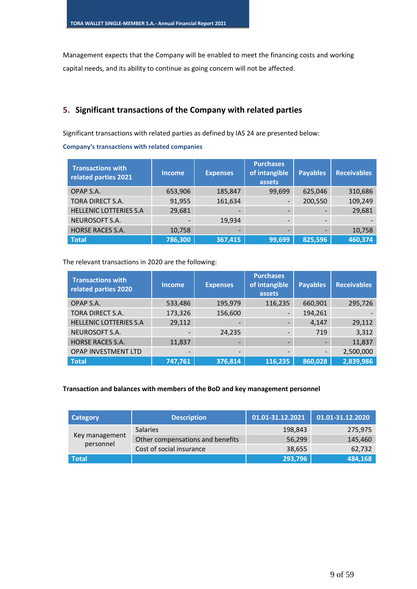Management expects that the Company will be enabled to meet the financing costs and working capital needs, and its ability to continue as going concern will not be affected.

# <span id="page-11-0"></span>**5. Significant transactions of the Company with related parties**

Significant transactions with related parties as defined by IAS 24 are presented below: **Company's transactions with related companies**

| <b>Transactions with</b><br>related parties 2021 | <b>Income</b> | <b>Expenses</b> | <b>Purchases</b><br>of intangible<br>assets | <b>Payables</b> | <b>Receivables</b> |
|--------------------------------------------------|---------------|-----------------|---------------------------------------------|-----------------|--------------------|
| OPAP S.A.                                        | 653,906       | 185,847         | 99,699                                      | 625,046         | 310,686            |
| TORA DIRECT S.A.                                 | 91,955        | 161,634         | $\overline{\phantom{0}}$                    | 200,550         | 109,249            |
| <b>HELLENIC LOTTERIES S.A</b>                    | 29,681        |                 |                                             |                 | 29,681             |
| NEUROSOFT S.A.                                   |               | 19,934          |                                             |                 |                    |
| <b>HORSE RACES S.A.</b>                          | 10,758        |                 |                                             |                 | 10,758             |
| <b>Total</b>                                     | 786,300       | 367,415         | 99,699                                      | 825,596         | 460,374            |

The relevant transactions in 2020 are the following:

| <b>Transactions with</b><br>related parties 2020 | <b>Income</b> | <b>Expenses</b> | <b>Purchases</b><br>of intangible<br>assets | <b>Payables</b> | <b>Receivables</b> |
|--------------------------------------------------|---------------|-----------------|---------------------------------------------|-----------------|--------------------|
| OPAP S.A.                                        | 533,486       | 195,979         | 116,235                                     | 660,901         | 295,726            |
| TORA DIRECT S.A.                                 | 173,326       | 156,600         |                                             | 194,261         |                    |
| <b>HELLENIC LOTTERIES S.A</b>                    | 29,112        |                 |                                             | 4,147           | 29,112             |
| NEUROSOFT S.A.                                   |               | 24,235          |                                             | 719             | 3,312              |
| HORSE RACES S.A.                                 | 11,837        |                 |                                             |                 | 11,837             |
| OPAP INVESTMENT LTD                              |               |                 |                                             |                 | 2,500,000          |
| <b>Total</b>                                     | 747,761       | 376,814         | 116,235                                     | 860,028         | 2,839,986          |

## **Transaction and balances with members of the BoD and key management personnel**

| Category                    | <b>Description</b>               | 01.01-31.12.2021 | 01.01-31.12.2020 |
|-----------------------------|----------------------------------|------------------|------------------|
|                             | <b>Salaries</b>                  | 198,843          | 275,975          |
| Key management<br>personnel | Other compensations and benefits | 56,299           | 145,460          |
|                             | Cost of social insurance         | 38,655           | 62,732           |
| <b>Total</b>                |                                  | 293,796          | 484,168          |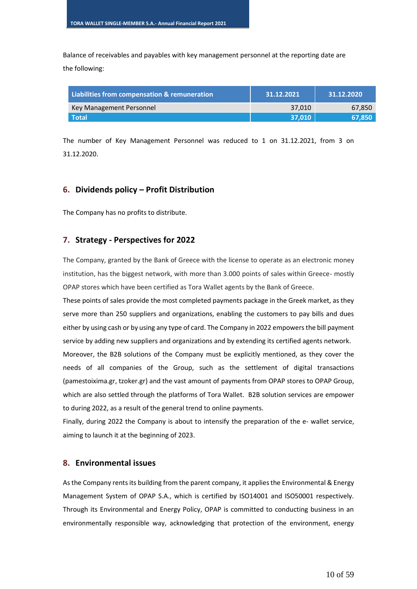Balance of receivables and payables with key management personnel at the reporting date are the following:

| Liabilities from compensation & remuneration | 31.12.2021 | 31.12.2020 |
|----------------------------------------------|------------|------------|
| <b>Key Management Personnel</b>              | 37.010     | 67.850     |
| <b>Total</b>                                 | 37.010     | 67.850     |

The number of Key Management Personnel was reduced to 1 on 31.12.2021, from 3 on 31.12.2020.

# <span id="page-12-0"></span>**6. Dividends policy – Profit Distribution**

The Company has no profits to distribute.

## <span id="page-12-1"></span>**7. Strategy - Perspectives for 2022**

The Company, granted by the Bank of Greece with the license to operate as an electronic money institution, has the biggest network, with more than 3.000 points of sales within Greece- mostly OPAP stores which have been certified as Tora Wallet agents by the Bank of Greece.

These points of sales provide the most completed payments package in the Greek market, as they serve more than 250 suppliers and organizations, enabling the customers to pay bills and dues either by using cash or by using any type of card. The Company in 2022 empowers the bill payment service by adding new suppliers and organizations and by extending its certified agents network. Moreover, the B2B solutions of the Company must be explicitly mentioned, as they cover the needs of all companies of the Group, such as the settlement of digital transactions (pamestoixima.gr, tzoker.gr) and the vast amount of payments from OPAP stores to OPAP Group, which are also settled through the platforms of Tora Wallet. B2B solution services are empower to during 2022, as a result of the general trend to online payments.

Finally, during 2022 the Company is about to intensify the preparation of the e- wallet service, aiming to launch it at the beginning of 2023.

# <span id="page-12-2"></span>**8. Environmental issues**

As the Company rents its building from the parent company, it applies the Environmental & Energy Management System of OPAP S.A., which is certified by ISO14001 and ISO50001 respectively. Through its Environmental and Energy Policy, OPAP is committed to conducting business in an environmentally responsible way, acknowledging that protection of the environment, energy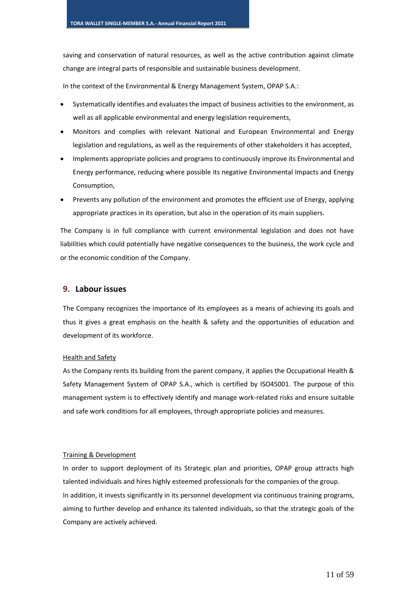saving and conservation of natural resources, as well as the active contribution against climate change are integral parts of responsible and sustainable business development.

In the context of the Environmental & Energy Management System, OPAP S.A.:

- Systematically identifies and evaluates the impact of business activities to the environment, as well as all applicable environmental and energy legislation requirements,
- Monitors and complies with relevant National and European Environmental and Energy legislation and regulations, as well as the requirements of other stakeholders it has accepted,
- Implements appropriate policies and programs to continuously improve its Environmental and Energy performance, reducing where possible its negative Environmental Impacts and Energy Consumption,
- Prevents any pollution of the environment and promotes the efficient use of Energy, applying appropriate practices in its operation, but also in the operation of its main suppliers.

The Company is in full compliance with current environmental legislation and does not have liabilities which could potentially have negative consequences to the business, the work cycle and or the economic condition of the Company.

## <span id="page-13-0"></span>**9. Labour issues**

The Company recognizes the importance of its employees as a means of achieving its goals and thus it gives a great emphasis on the health & safety and the opportunities of education and development of its workforce.

#### Health and Safety

As the Company rents its building from the parent company, it applies the Occupational Health & Safety Management System of OPAP S.A., which is certified by ISO45001. The purpose of this management system is to effectively identify and manage work-related risks and ensure suitable and safe work conditions for all employees, through appropriate policies and measures.

#### Training & Development

In order to support deployment of its Strategic plan and priorities, OPAP group attracts high talented individuals and hires highly esteemed professionals for the companies of the group. In addition, it invests significantly in its personnel development via continuous training programs, aiming to further develop and enhance its talented individuals, so that the strategic goals of the Company are actively achieved.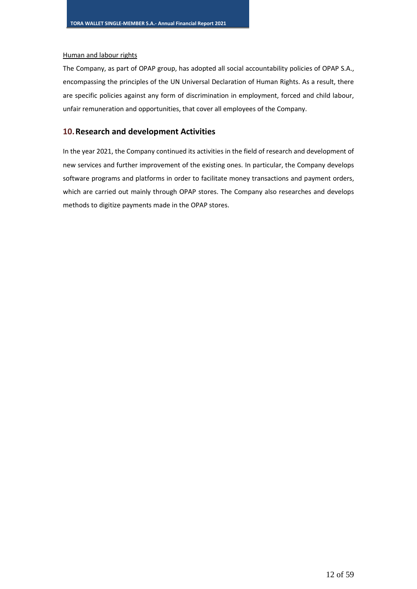#### Human and labour rights

The Company, as part of OPAP group, has adopted all social accountability policies of OPAP S.A., encompassing the principles of the UN Universal Declaration of Human Rights. As a result, there are specific policies against any form of discrimination in employment, forced and child labour, unfair remuneration and opportunities, that cover all employees of the Company.

# <span id="page-14-0"></span>**10.Research and development Activities**

In the year 2021, the Company continued its activities in the field of research and development of new services and further improvement of the existing ones. In particular, the Company develops software programs and platforms in order to facilitate money transactions and payment orders, which are carried out mainly through OPAP stores. The Company also researches and develops methods to digitize payments made in the OPAP stores.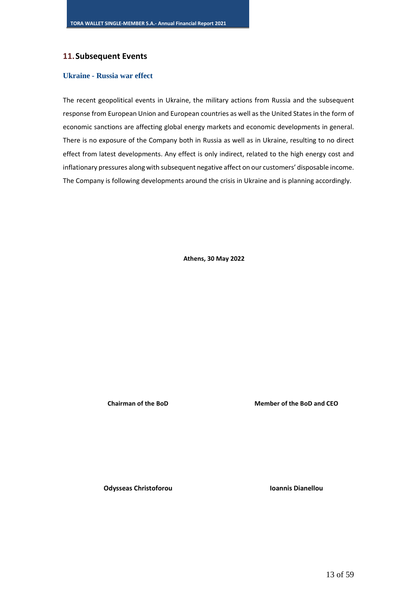# <span id="page-15-0"></span>**11.Subsequent Events**

## **Ukraine - Russia war effect**

The recent geopolitical events in Ukraine, the military actions from Russia and the subsequent response from European Union and European countries as well as the United States in the form of economic sanctions are affecting global energy markets and economic developments in general. There is no exposure of the Company both in Russia as well as in Ukraine, resulting to no direct effect from latest developments. Any effect is only indirect, related to the high energy cost and inflationary pressures along with subsequent negative affect on our customers' disposable income. The Company is following developments around the crisis in Ukraine and is planning accordingly.

 **Athens, 30 May 2022**

**Chairman of the BoD Member of the BoD and CEO**

**Odysseas Christoforou Ioannis Dianellou**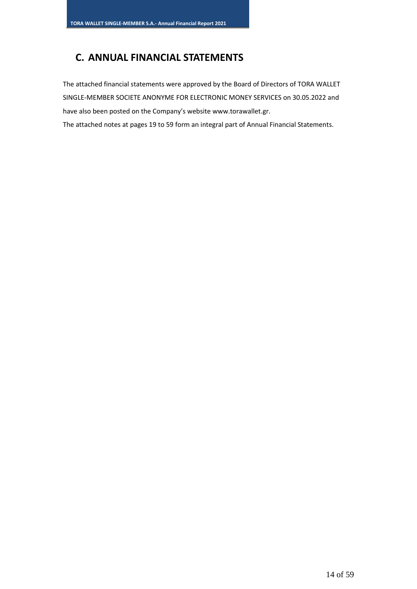# <span id="page-16-0"></span>**C. ANNUAL FINANCIAL STATEMENTS**

The attached financial statements were approved by the Board of Directors of TORA WALLET SINGLE-MEMBER SOCIETE ANONYME FOR ELECTRONIC MONEY SERVICES on 30.05.2022 and have also been posted on the Company's website www.torawallet.gr.

The attached notes at pages 19 to 59 form an integral part of Annual Financial Statements.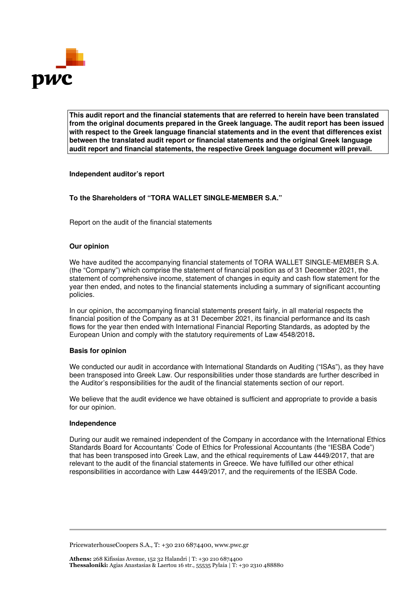

**This audit report and the financial statements that are referred to herein have been translated from the original documents prepared in the Greek language. The audit report has been issued with respect to the Greek language financial statements and in the event that differences exist between the translated audit report or financial statements and the original Greek language audit report and financial statements, the respective Greek language document will prevail.** 

## **Independent auditor's report**

## **To the Shareholders of "TORA WALLET SINGLE-MEMBER S.A."**

Report on the audit of the financial statements

#### **Our opinion**

We have audited the accompanying financial statements of TORA WALLET SINGLE-MEMBER S.A. (the "Company") which comprise the statement of financial position as of 31 December 2021, the statement of comprehensive income, statement of changes in equity and cash flow statement for the year then ended, and notes to the financial statements including a summary of significant accounting policies.

In our opinion, the accompanying financial statements present fairly, in all material respects the financial position of the Company as at 31 December 2021, its financial performance and its cash flows for the year then ended with International Financial Reporting Standards, as adopted by the European Union and comply with the statutory requirements of Law 4548/2018**.** 

#### **Basis for opinion**

We conducted our audit in accordance with International Standards on Auditing ("ISAs"), as they have been transposed into Greek Law. Our responsibilities under those standards are further described in the Auditor's responsibilities for the audit of the financial statements section of our report.

We believe that the audit evidence we have obtained is sufficient and appropriate to provide a basis for our opinion.

#### **Independence**

During our audit we remained independent of the Company in accordance with the International Ethics Standards Board for Accountants' Code of Ethics for Professional Accountants (the "IESBA Code") that has been transposed into Greek Law, and the ethical requirements of Law 4449/2017, that are relevant to the audit of the financial statements in Greece. We have fulfilled our other ethical responsibilities in accordance with Law 4449/2017, and the requirements of the IESBA Code.

PricewaterhouseCoopers S.A., T: +30 210 6874400, www.pwc.gr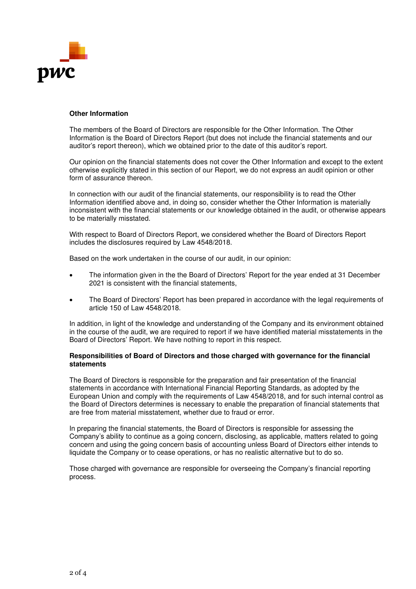

# **Other Information**

The members of the Board of Directors are responsible for the Other Information. The Other Information is the Board of Directors Report (but does not include the financial statements and our auditor's report thereon), which we obtained prior to the date of this auditor's report.

Our opinion on the financial statements does not cover the Other Information and except to the extent otherwise explicitly stated in this section of our Report, we do not express an audit opinion or other form of assurance thereon.

In connection with our audit of the financial statements, our responsibility is to read the Other Information identified above and, in doing so, consider whether the Other Information is materially inconsistent with the financial statements or our knowledge obtained in the audit, or otherwise appears to be materially misstated.

With respect to Board of Directors Report, we considered whether the Board of Directors Report includes the disclosures required by Law 4548/2018.

Based on the work undertaken in the course of our audit, in our opinion:

- The information given in the the Board of Directors' Report for the year ended at 31 December 2021 is consistent with the financial statements,
- The Board of Directors' Report has been prepared in accordance with the legal requirements of article 150 of Law 4548/2018.

In addition, in light of the knowledge and understanding of the Company and its environment obtained in the course of the audit, we are required to report if we have identified material misstatements in the Board of Directors' Report. We have nothing to report in this respect.

# **Responsibilities of Board of Directors and those charged with governance for the financial statements**

The Board of Directors is responsible for the preparation and fair presentation of the financial statements in accordance with International Financial Reporting Standards, as adopted by the European Union and comply with the requirements of Law 4548/2018, and for such internal control as the Board of Directors determines is necessary to enable the preparation of financial statements that are free from material misstatement, whether due to fraud or error.

In preparing the financial statements, the Board of Directors is responsible for assessing the Company's ability to continue as a going concern, disclosing, as applicable, matters related to going concern and using the going concern basis of accounting unless Board of Directors either intends to liquidate the Company or to cease operations, or has no realistic alternative but to do so.

Those charged with governance are responsible for overseeing the Company's financial reporting process.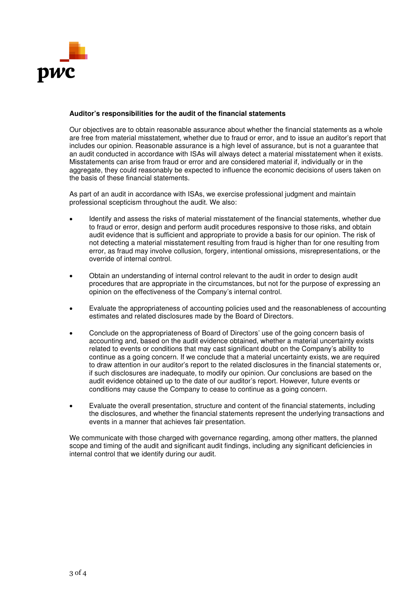

# **Auditor's responsibilities for the audit of the financial statements**

Our objectives are to obtain reasonable assurance about whether the financial statements as a whole are free from material misstatement, whether due to fraud or error, and to issue an auditor's report that includes our opinion. Reasonable assurance is a high level of assurance, but is not a guarantee that an audit conducted in accordance with ISAs will always detect a material misstatement when it exists. Misstatements can arise from fraud or error and are considered material if, individually or in the aggregate, they could reasonably be expected to influence the economic decisions of users taken on the basis of these financial statements.

As part of an audit in accordance with ISAs, we exercise professional judgment and maintain professional scepticism throughout the audit. We also:

- Identify and assess the risks of material misstatement of the financial statements, whether due to fraud or error, design and perform audit procedures responsive to those risks, and obtain audit evidence that is sufficient and appropriate to provide a basis for our opinion. The risk of not detecting a material misstatement resulting from fraud is higher than for one resulting from error, as fraud may involve collusion, forgery, intentional omissions, misrepresentations, or the override of internal control.
- Obtain an understanding of internal control relevant to the audit in order to design audit procedures that are appropriate in the circumstances, but not for the purpose of expressing an opinion on the effectiveness of the Company's internal control.
- Evaluate the appropriateness of accounting policies used and the reasonableness of accounting estimates and related disclosures made by the Board of Directors.
- Conclude on the appropriateness of Board of Directors' use of the going concern basis of accounting and, based on the audit evidence obtained, whether a material uncertainty exists related to events or conditions that may cast significant doubt on the Company's ability to continue as a going concern. If we conclude that a material uncertainty exists, we are required to draw attention in our auditor's report to the related disclosures in the financial statements or, if such disclosures are inadequate, to modify our opinion. Our conclusions are based on the audit evidence obtained up to the date of our auditor's report. However, future events or conditions may cause the Company to cease to continue as a going concern.
- Evaluate the overall presentation, structure and content of the financial statements, including the disclosures, and whether the financial statements represent the underlying transactions and events in a manner that achieves fair presentation.

We communicate with those charged with governance regarding, among other matters, the planned scope and timing of the audit and significant audit findings, including any significant deficiencies in internal control that we identify during our audit.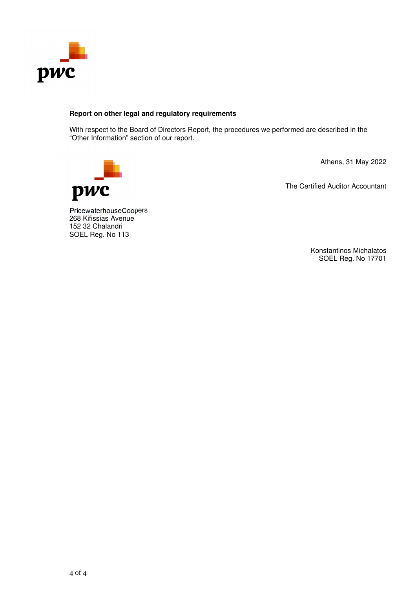

# **Report on other legal and regulatory requirements**

With respect to the Board of Directors Report, the procedures we performed are described in the "Other Information" section of our report.



Athens, 31 May 2022

The Certified Auditor Accountant

PricewaterhouseCoopers 268 Kifissias Avenue 152 32 Chalandri SOEL Reg. No 113

> Konstantinos Michalatos SOEL Reg. No 17701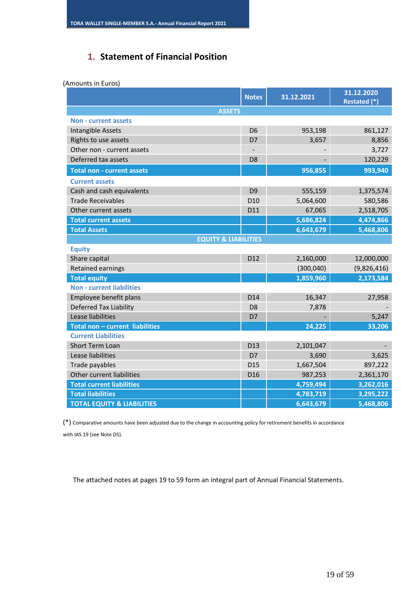# <span id="page-21-0"></span>**1. Statement of Financial Position**

(Amounts in Euros)

|                                       | <b>Notes</b>    | 31.12.2021 | 31.12.2020<br>Restated (*) |
|---------------------------------------|-----------------|------------|----------------------------|
| <b>ASSETS</b>                         |                 |            |                            |
| <b>Non - current assets</b>           |                 |            |                            |
| Intangible Assets                     | D <sub>6</sub>  | 953,198    | 861,127                    |
| Rights to use assets                  | D7              | 3,657      | 8,856                      |
| Other non - current assets            |                 |            | 3,727                      |
| Deferred tax assets                   | D <sub>8</sub>  |            | 120,229                    |
| <b>Total non - current assets</b>     |                 | 956,855    | 993,940                    |
| <b>Current assets</b>                 |                 |            |                            |
| Cash and cash equivalents             | D <sub>9</sub>  | 555,159    | 1,375,574                  |
| <b>Trade Receivables</b>              | D <sub>10</sub> | 5,064,600  | 580,586                    |
| Other current assets                  | D11             | 67,065     | 2,518,705                  |
| <b>Total current assets</b>           |                 | 5,686,824  | 4,474,866                  |
| <b>Total Assets</b>                   |                 | 6,643,679  | 5,468,806                  |
| <b>EQUITY &amp; LIABILITIES</b>       |                 |            |                            |
| <b>Equity</b>                         |                 |            |                            |
| Share capital                         | D12             | 2,160,000  | 12,000,000                 |
| <b>Retained earnings</b>              |                 | (300, 040) | (9,826,416)                |
| <b>Total equity</b>                   |                 | 1,859,960  | 2,173,584                  |
| <b>Non - current liabilities</b>      |                 |            |                            |
| Employee benefit plans                | D <sub>14</sub> | 16,347     | 27,958                     |
| <b>Deferred Tax Liability</b>         | D <sub>8</sub>  | 7,878      |                            |
| Lease liabilities                     | D7              |            | 5,247                      |
| Total non - current liabilities       |                 | 24,225     | 33,206                     |
| <b>Current Liabilities</b>            |                 |            |                            |
| Short Term Loan                       | D13             | 2,101,047  |                            |
| Lease liabilities                     | D7              | 3,690      | 3,625                      |
| Trade payables                        | D <sub>15</sub> | 1,667,504  | 897,222                    |
| Other current liabilities             | D <sub>16</sub> | 987,253    | 2,361,170                  |
| <b>Total current liabilities</b>      |                 | 4,759,494  | 3,262,016                  |
| <b>Total liabilities</b>              |                 | 4,783,719  | 3,295,222                  |
| <b>TOTAL EQUITY &amp; LIABILITIES</b> |                 | 6,643,679  | 5,468,806                  |

(\*) Comparative amounts have been adjusted due to the change in accounting policy for retirement benefits in accordance with IAS 19 (see Note D5).

The attached notes at pages 19 to 59 form an integral part of Annual Financial Statements.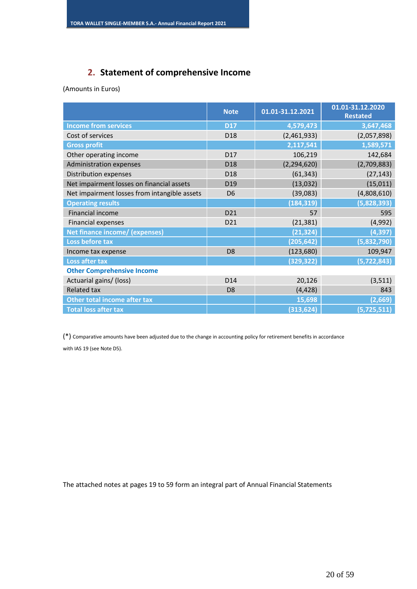# **2. Statement of comprehensive Income**

<span id="page-22-0"></span>(Amounts in Euros)

|                                              | <b>Note</b>     | 01.01-31.12.2021 | 01.01-31.12.2020<br><b>Restated</b> |
|----------------------------------------------|-----------------|------------------|-------------------------------------|
| <b>Income from services</b>                  | D17             | 4,579,473        | 3,647,468                           |
| Cost of services                             | D18             | (2,461,933)      | (2,057,898)                         |
| <b>Gross profit</b>                          |                 | 2,117,541        | 1,589,571                           |
| Other operating income                       | D17             | 106,219          | 142,684                             |
| <b>Administration expenses</b>               | D18             | (2, 294, 620)    | (2,709,883)                         |
| Distribution expenses                        | D18             | (61, 343)        | (27, 143)                           |
| Net impairment losses on financial assets    | D19             | (13,032)         | (15, 011)                           |
| Net impairment losses from intangible assets | D <sub>6</sub>  | (39,083)         | (4,808,610)                         |
| <b>Operating results</b>                     |                 | (184, 319)       | (5,828,393)                         |
| Financial income                             | D21             | 57               | 595                                 |
| <b>Financial expenses</b>                    | D <sub>21</sub> | (21, 381)        | (4,992)                             |
| Net finance income/ (expenses)               |                 | (21, 324)        | (4, 397)                            |
| Loss before tax                              |                 | (205, 642)       | (5,832,790)                         |
| Income tax expense                           | D <sub>8</sub>  | (123, 680)       | 109,947                             |
| Loss after tax                               |                 | (329, 322)       | (5, 722, 843)                       |
| <b>Other Comprehensive Income</b>            |                 |                  |                                     |
| Actuarial gains/ (loss)                      | D14             | 20,126           | (3, 511)                            |
| <b>Related tax</b>                           | D <sub>8</sub>  | (4, 428)         | 843                                 |
| <b>Other total income after tax</b>          |                 | 15,698           | (2,669)                             |
| <b>Total loss after tax</b>                  |                 | (313, 624)       | (5,725,511)                         |

(\*) Comparative amounts have been adjusted due to the change in accounting policy for retirement benefits in accordance

with IAS 19 (see Note D5).

The attached notes at pages 19 to 59 form an integral part of Annual Financial Statements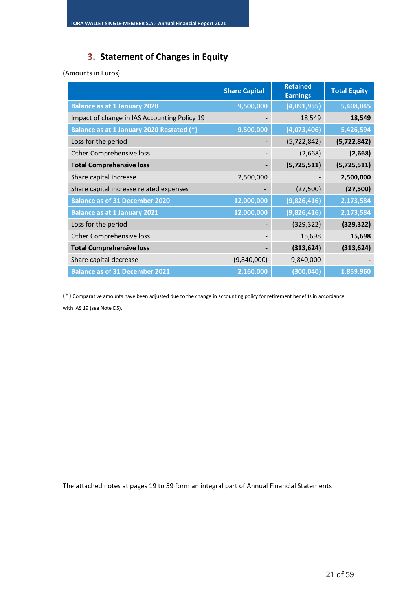# **3. Statement of Changes in Equity**

<span id="page-23-0"></span>(Amounts in Euros)

|                                              | <b>Share Capital</b>     | <b>Retained</b><br><b>Earnings</b> | <b>Total Equity</b> |
|----------------------------------------------|--------------------------|------------------------------------|---------------------|
| <b>Balance as at 1 January 2020</b>          | 9,500,000                | (4,091,955)                        | 5,408,045           |
| Impact of change in IAS Accounting Policy 19 |                          | 18,549                             | 18,549              |
| Balance as at 1 January 2020 Restated (*)    | 9,500,000                | (4,073,406)                        | 5,426,594           |
| Loss for the period                          |                          | (5, 722, 842)                      | (5, 722, 842)       |
| Other Comprehensive loss                     |                          | (2,668)                            | (2,668)             |
| <b>Total Comprehensive loss</b>              | $\overline{\phantom{a}}$ | (5,725,511)                        | (5,725,511)         |
| Share capital increase                       | 2,500,000                |                                    | 2,500,000           |
| Share capital increase related expenses      |                          | (27, 500)                          | (27, 500)           |
| <b>Balance as of 31 December 2020</b>        | 12,000,000               | (9,826,416)                        | 2,173,584           |
| <b>Balance as at 1 January 2021</b>          | 12,000,000               | (9,826,416)                        | 2,173,584           |
| Loss for the period                          |                          | (329, 322)                         | (329, 322)          |
| Other Comprehensive loss                     |                          | 15,698                             | 15,698              |
| <b>Total Comprehensive loss</b>              | $\overline{\phantom{a}}$ | (313, 624)                         | (313, 624)          |
| Share capital decrease                       | (9,840,000)              | 9,840,000                          |                     |
| <b>Balance as of 31 December 2021</b>        | 2,160,000                | (300, 040)                         | 1.859.960           |

(\*) Comparative amounts have been adjusted due to the change in accounting policy for retirement benefits in accordance with IAS 19 (see Note D5).

The attached notes at pages 19 to 59 form an integral part of Annual Financial Statements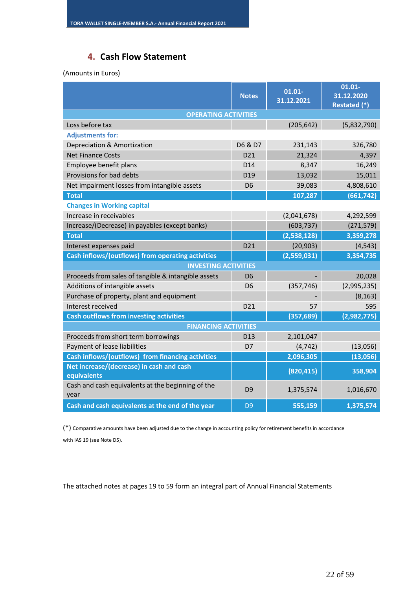# **4. Cash Flow Statement**

<span id="page-24-0"></span>(Amounts in Euros)

|                                                           | <b>Notes</b>    | $01.01 -$<br>31.12.2021 | $01.01 -$<br>31.12.2020<br><b>Restated (*)</b> |
|-----------------------------------------------------------|-----------------|-------------------------|------------------------------------------------|
| <b>OPERATING ACTIVITIES</b>                               |                 |                         |                                                |
| Loss before tax                                           |                 | (205, 642)              | (5,832,790)                                    |
| <b>Adjustments for:</b>                                   |                 |                         |                                                |
| Depreciation & Amortization                               | D6 & D7         | 231,143                 | 326,780                                        |
| <b>Net Finance Costs</b>                                  | D21             | 21,324                  | 4,397                                          |
| Employee benefit plans                                    | D14             | 8,347                   | 16,249                                         |
| Provisions for bad debts                                  | D <sub>19</sub> | 13,032                  | 15,011                                         |
| Net impairment losses from intangible assets              | D <sub>6</sub>  | 39,083                  | 4,808,610                                      |
| <b>Total</b>                                              |                 | 107,287                 | (661, 742)                                     |
| <b>Changes in Working capital</b>                         |                 |                         |                                                |
| Increase in receivables                                   |                 | (2,041,678)             | 4,292,599                                      |
| Increase/(Decrease) in payables (except banks)            |                 | (603, 737)              | (271, 579)                                     |
| <b>Total</b>                                              |                 | (2,538,128)             | 3,359,278                                      |
| Interest expenses paid                                    | D21             | (20, 903)               | (4, 543)                                       |
| Cash inflows/(outflows) from operating activities         |                 | (2,559,031)             | 3,354,735                                      |
| <b>INVESTING ACTIVITIES</b>                               |                 |                         |                                                |
| Proceeds from sales of tangible & intangible assets       | D <sub>6</sub>  |                         | 20,028                                         |
| Additions of intangible assets                            | D <sub>6</sub>  | (357, 746)              | (2,995,235)                                    |
| Purchase of property, plant and equipment                 |                 |                         | (8, 163)                                       |
| Interest received                                         | D21             | 57                      | 595                                            |
| <b>Cash outflows from investing activities</b>            |                 | (357, 689)              | (2,982,775)                                    |
| <b>FINANCING ACTIVITIES</b>                               |                 |                         |                                                |
| Proceeds from short term borrowings                       | D <sub>13</sub> | 2,101,047               |                                                |
| Payment of lease liabilities                              | D7              | (4, 742)                | (13,056)                                       |
| Cash inflows/(outflows) from financing activities         |                 | 2,096,305               | (13,056)                                       |
| Net increase/(decrease) in cash and cash<br>equivalents   |                 | (820, 415)              | 358,904                                        |
| Cash and cash equivalents at the beginning of the<br>year | D <sub>9</sub>  | 1,375,574               | 1,016,670                                      |
| Cash and cash equivalents at the end of the year          | D <sub>9</sub>  | 555,159                 | 1,375,574                                      |

(\*) Comparative amounts have been adjusted due to the change in accounting policy for retirement benefits in accordance

with IAS 19 (see Note D5).

The attached notes at pages 19 to 59 form an integral part of Annual Financial Statements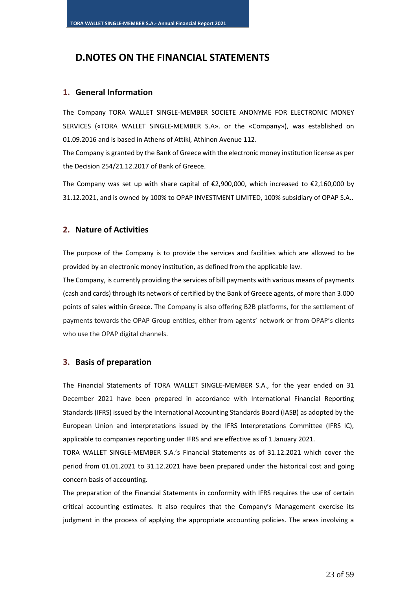# <span id="page-25-0"></span>**D.NOTES ON THE FINANCIAL STATEMENTS**

#### <span id="page-25-1"></span>**1. General Information**

The Company TORA WALLET SINGLE-MEMBER SOCIETE ANONYME FOR ELECTRONIC MONEY SERVICES («TORA WALLET SINGLE-MEMBER S.A». or the «Company»), was established on 01.09.2016 and is based in Athens of Attiki, Athinon Avenue 112.

The Company is granted by the Bank of Greece with the electronic money institution license as per the Decision 254/21.12.2017 of Bank of Greece.

The Company was set up with share capital of  $\epsilon$ 2,900,000, which increased to  $\epsilon$ 2,160,000 by 31.12.2021, and is owned by 100% to OPAP INVESTMENT LIMITED, 100% subsidiary of OPAP S.A..

# <span id="page-25-2"></span>**2. Nature of Activities**

The purpose of the Company is to provide the services and facilities which are allowed to be provided by an electronic money institution, as defined from the applicable law.

The Company, is currently providing the services of bill payments with various means of payments (cash and cards) through its network of certified by the Bank of Greece agents, of more than 3.000 points of sales within Greece. The Company is also offering B2B platforms, for the settlement of payments towards the OPAP Group entities, either from agents' network or from OPAP's clients who use the OPAP digital channels.

#### <span id="page-25-3"></span>**3. Basis of preparation**

The Financial Statements of TORA WALLET SINGLE-MEMBER S.A., for the year ended on 31 December 2021 have been prepared in accordance with International Financial Reporting Standards (IFRS) issued by the International Accounting Standards Board (IASB) as adopted by the European Union and interpretations issued by the IFRS Interpretations Committee (IFRS IC), applicable to companies reporting under IFRS and are effective as of 1 January 2021.

TORA WALLET SINGLE-MEMBER S.A.'s Financial Statements as of 31.12.2021 which cover the period from 01.01.2021 to 31.12.2021 have been prepared under the historical cost and going concern basis of accounting.

The preparation of the Financial Statements in conformity with IFRS requires the use of certain critical accounting estimates. It also requires that the Company's Management exercise its judgment in the process of applying the appropriate accounting policies. The areas involving a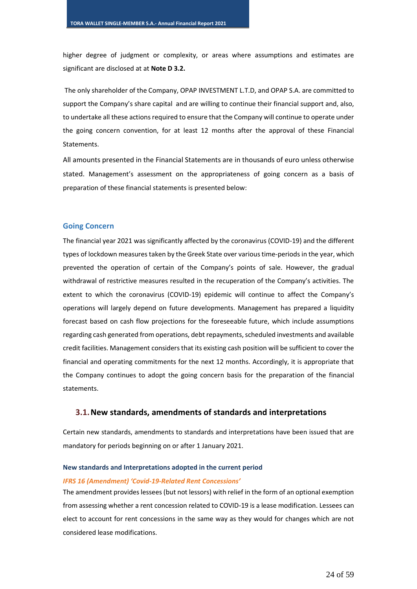higher degree of judgment or complexity, or areas where assumptions and estimates are significant are disclosed at at **Note D 3.2.**

The only shareholder of the Company, OPAP INVESTMENT L.T.D, and OPAP S.A. are committed to support the Company's share capital and are willing to continue their financial support and, also, to undertake all these actions required to ensure that the Company will continue to operate under the going concern convention, for at least 12 months after the approval of these Financial **Statements** 

All amounts presented in the Financial Statements are in thousands of euro unless otherwise stated. Management's assessment on the appropriateness of going concern as a basis of preparation of these financial statements is presented below:

#### **Going Concern**

The financial year 2021 was significantly affected by the coronavirus (COVID-19) and the different types of lockdown measures taken by the Greek State over various time-periods in the year, which prevented the operation of certain of the Company's points of sale. However, the gradual withdrawal of restrictive measures resulted in the recuperation of the Company's activities. The extent to which the coronavirus (COVID-19) epidemic will continue to affect the Company's operations will largely depend on future developments. Management has prepared a liquidity forecast based on cash flow projections for the foreseeable future, which include assumptions regarding cash generated from operations, debt repayments, scheduled investments and available credit facilities. Management considers that its existing cash position will be sufficient to cover the financial and operating commitments for the next 12 months. Accordingly, it is appropriate that the Company continues to adopt the going concern basis for the preparation of the financial statements.

# <span id="page-26-0"></span>**3.1.New standards, amendments of standards and interpretations**

Certain new standards, amendments to standards and interpretations have been issued that are mandatory for periods beginning on or after 1 January 2021.

#### **New standards and Interpretations adopted in the current period**

#### *IFRS 16 (Amendment) 'Covid-19-Related Rent Concessions'*

The amendment provides lessees (but not lessors) with relief in the form of an optional exemption from assessing whether a rent concession related to COVID-19 is a lease modification. Lessees can elect to account for rent concessions in the same way as they would for changes which are not considered lease modifications.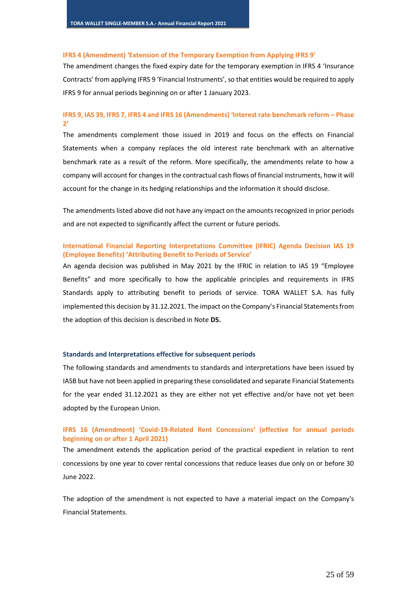#### **IFRS 4 (Amendment) 'Extension of the Temporary Exemption from Applying IFRS 9'**

The amendment changes the fixed expiry date for the temporary exemption in IFRS 4 'Insurance Contracts' from applying IFRS 9 'Financial Instruments', so that entities would be required to apply IFRS 9 for annual periods beginning on or after 1 January 2023.

# **IFRS 9, IAS 39, IFRS 7, IFRS 4 and IFRS 16 (Amendments) 'Interest rate benchmark reform – Phase 2'**

The amendments complement those issued in 2019 and focus on the effects on Financial Statements when a company replaces the old interest rate benchmark with an alternative benchmark rate as a result of the reform. More specifically, the amendments relate to how a company will account for changes in the contractual cash flows of financial instruments, how it will account for the change in its hedging relationships and the information it should disclose.

The amendments listed above did not have any impact on the amounts recognized in prior periods and are not expected to significantly affect the current or future periods.

# **International Financial Reporting Interpretations Committee (IFRIC) Agenda Decision IAS 19 (Employee Benefits) 'Attributing Benefit to Periods of Service'**

An agenda decision was published in May 2021 by the IFRIC in relation to IAS 19 "Employee Benefits" and more specifically to how the applicable principles and requirements in IFRS Standards apply to attributing benefit to periods of service. TORA WALLET S.A. has fully implemented this decision by 31.12.2021. The impact on the Company's Financial Statements from the adoption of this decision is described in Note **D5.**

#### **Standards and Interpretations effective for subsequent periods**

The following standards and amendments to standards and interpretations have been issued by IASB but have not been applied in preparing these consolidated and separate Financial Statements for the year ended 31.12.2021 as they are either not yet effective and/or have not yet been adopted by the European Union.

## **IFRS 16 (Amendment) 'Covid-19-Related Rent Concessions' (effective for annual periods beginning on or after 1 April 2021)**

The amendment extends the application period of the practical expedient in relation to rent concessions by one year to cover rental concessions that reduce leases due only on or before 30 June 2022.

The adoption of the amendment is not expected to have a material impact on the Company's Financial Statements.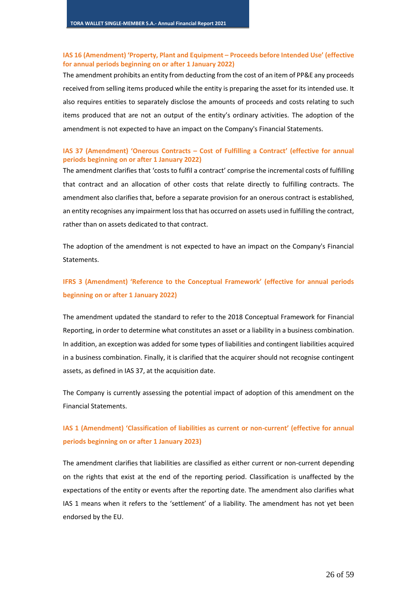## **IAS 16 (Amendment) 'Property, Plant and Equipment – Proceeds before Intended Use' (effective for annual periods beginning on or after 1 January 2022)**

The amendment prohibits an entity from deducting from the cost of an item of PP&E any proceeds received from selling items produced while the entity is preparing the asset for its intended use. It also requires entities to separately disclose the amounts of proceeds and costs relating to such items produced that are not an output of the entity's ordinary activities. The adoption of the amendment is not expected to have an impact on the Company's Financial Statements.

# **IAS 37 (Amendment) 'Onerous Contracts – Cost of Fulfilling a Contract' (effective for annual periods beginning on or after 1 January 2022)**

The amendment clarifies that 'costs to fulfil a contract' comprise the incremental costs of fulfilling that contract and an allocation of other costs that relate directly to fulfilling contracts. The amendment also clarifies that, before a separate provision for an onerous contract is established, an entity recognises any impairment loss that has occurred on assets used in fulfilling the contract, rather than on assets dedicated to that contract.

The adoption of the amendment is not expected to have an impact on the Company's Financial Statements.

# **IFRS 3 (Amendment) 'Reference to the Conceptual Framework' (effective for annual periods beginning on or after 1 January 2022)**

The amendment updated the standard to refer to the 2018 Conceptual Framework for Financial Reporting, in order to determine what constitutes an asset or a liability in a business combination. In addition, an exception was added for some types of liabilities and contingent liabilities acquired in a business combination. Finally, it is clarified that the acquirer should not recognise contingent assets, as defined in IAS 37, at the acquisition date.

The Company is currently assessing the potential impact of adoption of this amendment on the Financial Statements.

# **IAS 1 (Amendment) 'Classification of liabilities as current or non-current' (effective for annual periods beginning on or after 1 January 2023)**

The amendment clarifies that liabilities are classified as either current or non-current depending on the rights that exist at the end of the reporting period. Classification is unaffected by the expectations of the entity or events after the reporting date. The amendment also clarifies what IAS 1 means when it refers to the 'settlement' of a liability. The amendment has not yet been endorsed by the EU.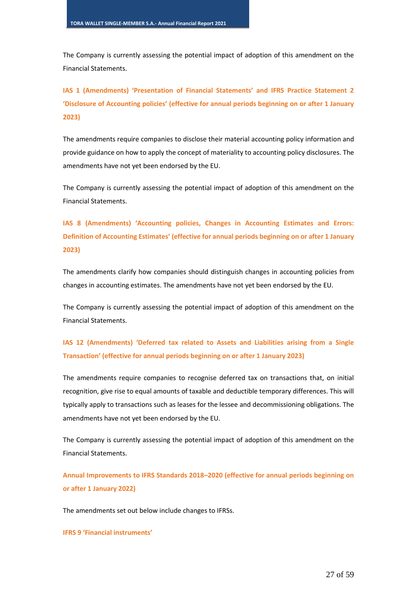The Company is currently assessing the potential impact of adoption of this amendment on the Financial Statements.

**IAS 1 (Amendments) 'Presentation of Financial Statements' and IFRS Practice Statement 2 'Disclosure of Accounting policies' (effective for annual periods beginning on or after 1 January 2023)**

The amendments require companies to disclose their material accounting policy information and provide guidance on how to apply the concept of materiality to accounting policy disclosures. The amendments have not yet been endorsed by the EU.

The Company is currently assessing the potential impact of adoption of this amendment on the Financial Statements.

**IAS 8 (Amendments) 'Accounting policies, Changes in Accounting Estimates and Errors: Definition of Accounting Estimates' (effective for annual periods beginning on or after 1 January 2023)**

The amendments clarify how companies should distinguish changes in accounting policies from changes in accounting estimates. The amendments have not yet been endorsed by the EU.

The Company is currently assessing the potential impact of adoption of this amendment on the Financial Statements.

# **IΑS 12 (Amendments) 'Deferred tax related to Assets and Liabilities arising from a Single Transaction' (effective for annual periods beginning on or after 1 January 2023)**

The amendments require companies to recognise deferred tax on transactions that, on initial recognition, give rise to equal amounts of taxable and deductible temporary differences. This will typically apply to transactions such as leases for the lessee and decommissioning obligations. The amendments have not yet been endorsed by the EU.

The Company is currently assessing the potential impact of adoption of this amendment on the Financial Statements.

**Annual Improvements to IFRS Standards 2018–2020 (effective for annual periods beginning on or after 1 January 2022)**

The amendments set out below include changes to IFRSs.

**IFRS 9 'Financial instruments'**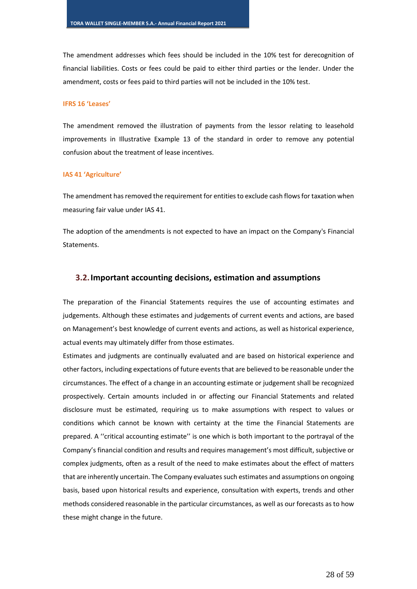The amendment addresses which fees should be included in the 10% test for derecognition of financial liabilities. Costs or fees could be paid to either third parties or the lender. Under the amendment, costs or fees paid to third parties will not be included in the 10% test.

#### **IFRS 16 'Leases'**

The amendment removed the illustration of payments from the lessor relating to leasehold improvements in Illustrative Example 13 of the standard in order to remove any potential confusion about the treatment of lease incentives.

#### **IAS 41 'Agriculture'**

The amendment has removed the requirement for entities to exclude cash flows for taxation when measuring fair value under IAS 41.

The adoption of the amendments is not expected to have an impact on the Company's Financial Statements.

## <span id="page-30-0"></span>**3.2.Important accounting decisions, estimation and assumptions**

The preparation of the Financial Statements requires the use of accounting estimates and judgements. Although these estimates and judgements of current events and actions, are based on Management's best knowledge of current events and actions, as well as historical experience, actual events may ultimately differ from those estimates.

Estimates and judgments are continually evaluated and are based on historical experience and other factors, including expectations of future events that are believed to be reasonable under the circumstances. The effect of a change in an accounting estimate or judgement shall be recognized prospectively. Certain amounts included in or affecting our Financial Statements and related disclosure must be estimated, requiring us to make assumptions with respect to values or conditions which cannot be known with certainty at the time the Financial Statements are prepared. A ''critical accounting estimate'' is one which is both important to the portrayal of the Company's financial condition and results and requires management's most difficult, subjective or complex judgments, often as a result of the need to make estimates about the effect of matters that are inherently uncertain. The Company evaluates such estimates and assumptions on ongoing basis, based upon historical results and experience, consultation with experts, trends and other methods considered reasonable in the particular circumstances, as well as our forecasts as to how these might change in the future.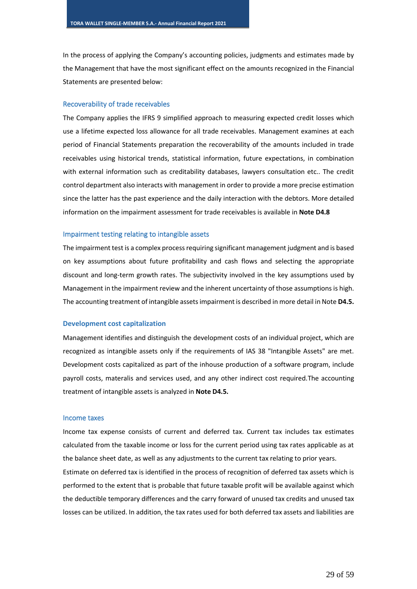In the process of applying the Company's accounting policies, judgments and estimates made by the Management that have the most significant effect on the amounts recognized in the Financial Statements are presented below:

#### Recoverability of trade receivables

The Company applies the IFRS 9 simplified approach to measuring expected credit losses which use a lifetime expected loss allowance for all trade receivables. Management examines at each period of Financial Statements preparation the recoverability of the amounts included in trade receivables using historical trends, statistical information, future expectations, in combination with external information such as creditability databases, lawyers consultation etc.. The credit control department also interacts with management in order to provide a more precise estimation since the latter has the past experience and the daily interaction with the debtors. More detailed information on the impairment assessment for trade receivables is available in **Note D4.8**

#### Ιmpairment testing relating to intangible assets

The impairment test is a complex process requiring significant management judgment and is based on key assumptions about future profitability and cash flows and selecting the appropriate discount and long-term growth rates. The subjectivity involved in the key assumptions used by Management in the impairment review and the inherent uncertainty of those assumptions is high. The accounting treatment of intangible assets impairment is described in more detail in Note **D4.5.**

#### **Development cost capitalization**

Management identifies and distinguish the development costs of an individual project, which are recognized as intangible assets only if the requirements of IAS 38 "Intangible Assets" are met. Development costs capitalized as part of the inhouse production of a software program, include payroll costs, materalis and services used, and any other indirect cost required.The accounting treatment of intangible assets is analyzed in **Note D4.5.**

#### Income taxes

Income tax expense consists of current and deferred tax. Current tax includes tax estimates calculated from the taxable income or loss for the current period using tax rates applicable as at the balance sheet date, as well as any adjustments to the current tax relating to prior years. Estimate on deferred tax is identified in the process of recognition of deferred tax assets which is performed to the extent that is probable that future taxable profit will be available against which the deductible temporary differences and the carry forward of unused tax credits and unused tax losses can be utilized. In addition, the tax rates used for both deferred tax assets and liabilities are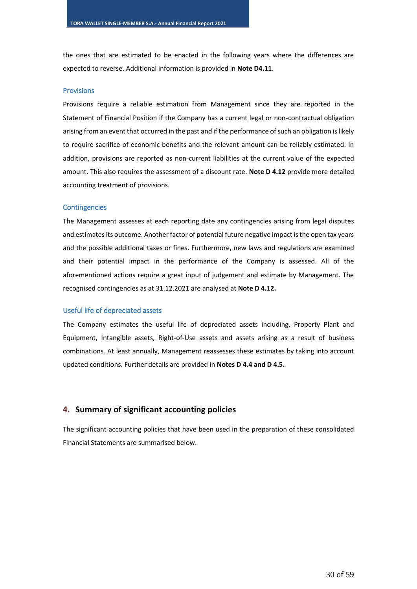the ones that are estimated to be enacted in the following years where the differences are expected to reverse. Additional information is provided in **Note D4.11**.

#### Provisions

Provisions require a reliable estimation from Management since they are reported in the Statement of Financial Position if the Company has a current legal or non-contractual obligation arising from an event that occurred in the past and if the performance of such an obligation is likely to require sacrifice of economic benefits and the relevant amount can be reliably estimated. In addition, provisions are reported as non-current liabilities at the current value of the expected amount. This also requires the assessment of a discount rate. **Note D 4.12** provide more detailed accounting treatment of provisions.

#### **Contingencies**

The Management assesses at each reporting date any contingencies arising from legal disputes and estimates its outcome. Another factor of potential future negative impact is the open tax years and the possible additional taxes or fines. Furthermore, new laws and regulations are examined and their potential impact in the performance of the Company is assessed. All of the aforementioned actions require a great input of judgement and estimate by Management. The recognised contingencies as at 31.12.2021 are analysed at **Note D 4.12.**

#### Useful life of depreciated assets

The Company estimates the useful life of depreciated assets including, Property Plant and Equipment, Intangible assets, Right-of-Use assets and assets arising as a result of business combinations. At least annually, Management reassesses these estimates by taking into account updated conditions. Further details are provided in **Notes D 4.4 and D 4.5.**

# <span id="page-32-0"></span>**4. Summary of significant accounting policies**

The significant accounting policies that have been used in the preparation of these consolidated Financial Statements are summarised below.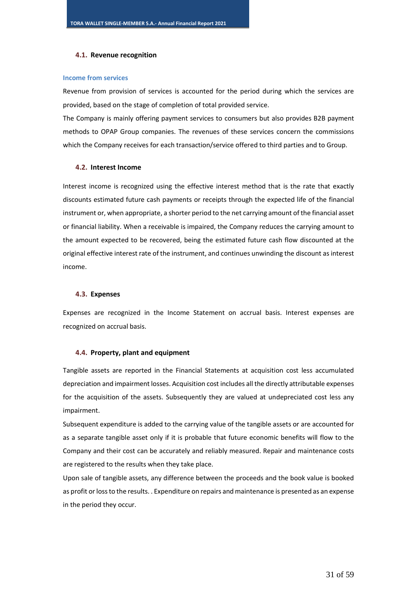#### <span id="page-33-0"></span>**4.1. Revenue recognition**

#### **Income from services**

Revenue from provision of services is accounted for the period during which the services are provided, based on the stage of completion of total provided service.

The Company is mainly offering payment services to consumers but also provides B2B payment methods to OPAP Group companies. The revenues of these services concern the commissions which the Company receives for each transaction/service offered to third parties and to Group.

#### <span id="page-33-1"></span>**4.2. Interest Income**

Interest income is recognized using the effective interest method that is the rate that exactly discounts estimated future cash payments or receipts through the expected life of the financial instrument or, when appropriate, a shorter period to the net carrying amount of the financial asset or financial liability. When a receivable is impaired, the Company reduces the carrying amount to the amount expected to be recovered, being the estimated future cash flow discounted at the original effective interest rate of the instrument, and continues unwinding the discount as interest income.

#### <span id="page-33-2"></span>**4.3. Expenses**

Expenses are recognized in the Income Statement on accrual basis. Interest expenses are recognized on accrual basis.

#### <span id="page-33-3"></span>**4.4. Property, plant and equipment**

Tangible assets are reported in the Financial Statements at acquisition cost less accumulated depreciation and impairment losses. Acquisition cost includes all the directly attributable expenses for the acquisition of the assets. Subsequently they are valued at undepreciated cost less any impairment.

Subsequent expenditure is added to the carrying value of the tangible assets or are accounted for as a separate tangible asset only if it is probable that future economic benefits will flow to the Company and their cost can be accurately and reliably measured. Repair and maintenance costs are registered to the results when they take place.

Upon sale of tangible assets, any difference between the proceeds and the book value is booked as profit or loss to the results. . Expenditure on repairs and maintenance is presented as an expense in the period they occur.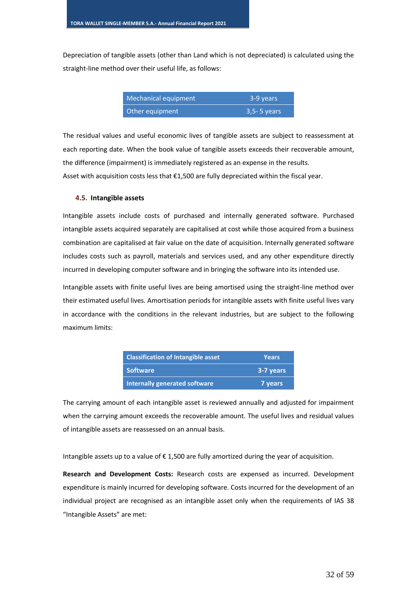Depreciation of tangible assets (other than Land which is not depreciated) is calculated using the straight-line method over their useful life, as follows:

| Mechanical equipment | 3-9 years       |
|----------------------|-----------------|
| Other equipment      | $3.5 - 5$ years |

The residual values and useful economic lives of tangible assets are subject to reassessment at each reporting date. When the book value of tangible assets exceeds their recoverable amount, the difference (impairment) is immediately registered as an expense in the results. Asset with acquisition costs less that €1,500 are fully depreciated within the fiscal year.

#### <span id="page-34-0"></span>**4.5. Intangible assets**

Intangible assets include costs of purchased and internally generated software. Purchased intangible assets acquired separately are capitalised at cost while those acquired from a business combination are capitalised at fair value on the date of acquisition. Internally generated software includes costs such as payroll, materials and services used, and any other expenditure directly incurred in developing computer software and in bringing the software into its intended use.

Intangible assets with finite useful lives are being amortised using the straight-line method over their estimated useful lives. Amortisation periods for intangible assets with finite useful lives vary in accordance with the conditions in the relevant industries, but are subject to the following maximum limits:

| <b>Classification of Intangible asset</b> | Years     |
|-------------------------------------------|-----------|
| <b>Software</b>                           | 3-7 years |
| Internally generated software             | 7 years   |

The carrying amount of each intangible asset is reviewed annually and adjusted for impairment when the carrying amount exceeds the recoverable amount. The useful lives and residual values of intangible assets are reassessed on an annual basis.

Intangible assets up to a value of € 1,500 are fully amortized during the year of acquisition.

**Research and Development Costs:** Research costs are expensed as incurred. Development expenditure is mainly incurred for developing software. Costs incurred for the development of an individual project are recognised as an intangible asset only when the requirements of IAS 38 "Intangible Assets" are met: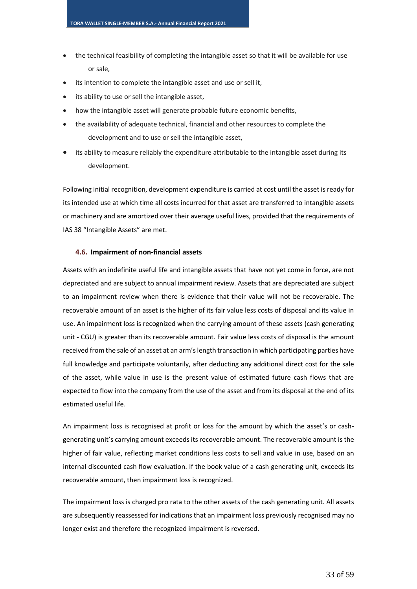- the technical feasibility of completing the intangible asset so that it will be available for use or sale,
- its intention to complete the intangible asset and use or sell it,
- its ability to use or sell the intangible asset,
- how the intangible asset will generate probable future economic benefits,
- the availability of adequate technical, financial and other resources to complete the development and to use or sell the intangible asset,
- its ability to measure reliably the expenditure attributable to the intangible asset during its development.

Following initial recognition, development expenditure is carried at cost until the asset is ready for its intended use at which time all costs incurred for that asset are transferred to intangible assets or machinery and are amortized over their average useful lives, provided that the requirements of IAS 38 "Intangible Assets" are met.

#### <span id="page-35-0"></span>**4.6. Impairment of non-financial assets**

Assets with an indefinite useful life and intangible assets that have not yet come in force, are not depreciated and are subject to annual impairment review. Assets that are depreciated are subject to an impairment review when there is evidence that their value will not be recoverable. The recoverable amount of an asset is the higher of its fair value less costs of disposal and its value in use. An impairment loss is recognized when the carrying amount of these assets (cash generating unit - CGU) is greater than its recoverable amount. Fair value less costs of disposal is the amount received from the sale of an asset at an arm's length transaction in which participating parties have full knowledge and participate voluntarily, after deducting any additional direct cost for the sale of the asset, while value in use is the present value of estimated future cash flows that are expected to flow into the company from the use of the asset and from its disposal at the end of its estimated useful life.

An impairment loss is recognised at profit or loss for the amount by which the asset's or cashgenerating unit's carrying amount exceeds its recoverable amount. The recoverable amount is the higher of fair value, reflecting market conditions less costs to sell and value in use, based on an internal discounted cash flow evaluation. If the book value of a cash generating unit, exceeds its recoverable amount, then impairment loss is recognized.

The impairment loss is charged pro rata to the other assets of the cash generating unit. All assets are subsequently reassessed for indications that an impairment loss previously recognised may no longer exist and therefore the recognized impairment is reversed.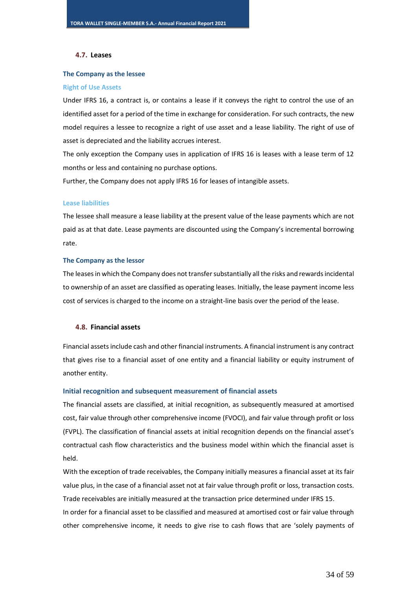#### <span id="page-36-0"></span>**4.7. Leases**

#### **The Company as the lessee**

#### **Right of Use Assets**

Under IFRS 16, a contract is, or contains a lease if it conveys the right to control the use of an identified asset for a period of the time in exchange for consideration. For such contracts, the new model requires a lessee to recognize a right of use asset and a lease liability. The right of use of asset is depreciated and the liability accrues interest.

The only exception the Company uses in application of IFRS 16 is leases with a lease term of 12 months or less and containing no purchase options.

Further, the Company does not apply IFRS 16 for leases of intangible assets.

#### **Lease liabilities**

The lessee shall measure a lease liability at the present value of the lease payments which are not paid as at that date. Lease payments are discounted using the Company's incremental borrowing rate.

#### **The Company as the lessor**

The leases in which the Company does not transfer substantially all the risks and rewards incidental to ownership of an asset are classified as operating leases. Initially, the lease payment income less cost of services is charged to the income on a straight-line basis over the period of the lease.

# <span id="page-36-1"></span>**4.8. Financial assets**

Financial assets include cash and other financial instruments. A financial instrument is any contract that gives rise to a financial asset of one entity and a financial liability or equity instrument of another entity.

#### **Initial recognition and subsequent measurement of financial assets**

The financial assets are classified, at initial recognition, as subsequently measured at amortised cost, fair value through other comprehensive income (FVOCI), and fair value through profit or loss (FVPL). The classification of financial assets at initial recognition depends on the financial asset's contractual cash flow characteristics and the business model within which the financial asset is held.

With the exception of trade receivables, the Company initially measures a financial asset at its fair value plus, in the case of a financial asset not at fair value through profit or loss, transaction costs. Trade receivables are initially measured at the transaction price determined under IFRS 15.

In order for a financial asset to be classified and measured at amortised cost or fair value through other comprehensive income, it needs to give rise to cash flows that are 'solely payments of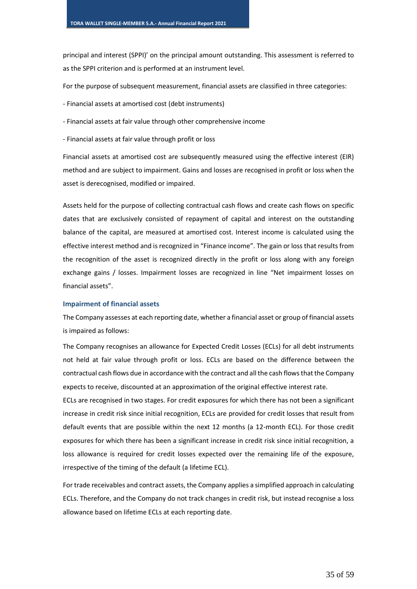principal and interest (SPPI)' on the principal amount outstanding. This assessment is referred to as the SPPI criterion and is performed at an instrument level.

For the purpose of subsequent measurement, financial assets are classified in three categories:

- Financial assets at amortised cost (debt instruments)
- Financial assets at fair value through other comprehensive income
- Financial assets at fair value through profit or loss

Financial assets at amortised cost are subsequently measured using the effective interest (EIR) method and are subject to impairment. Gains and losses are recognised in profit or loss when the asset is derecognised, modified or impaired.

Assets held for the purpose of collecting contractual cash flows and create cash flows on specific dates that are exclusively consisted of repayment of capital and interest on the outstanding balance of the capital, are measured at amortised cost. Interest income is calculated using the effective interest method and is recognized in "Finance income". The gain or loss that results from the recognition of the asset is recognized directly in the profit or loss along with any foreign exchange gains / losses. Impairment losses are recognized in line "Net impairment losses on financial assets".

#### **Impairment of financial assets**

The Company assesses at each reporting date, whether a financial asset or group of financial assets is impaired as follows:

The Company recognises an allowance for Expected Credit Losses (ECLs) for all debt instruments not held at fair value through profit or loss. ECLs are based on the difference between the contractual cash flows due in accordance with the contract and all the cash flows that the Company expects to receive, discounted at an approximation of the original effective interest rate.

ECLs are recognised in two stages. For credit exposures for which there has not been a significant increase in credit risk since initial recognition, ECLs are provided for credit losses that result from default events that are possible within the next 12 months (a 12-month ECL). For those credit exposures for which there has been a significant increase in credit risk since initial recognition, a loss allowance is required for credit losses expected over the remaining life of the exposure, irrespective of the timing of the default (a lifetime ECL).

For trade receivables and contract assets, the Company applies a simplified approach in calculating ECLs. Therefore, and the Company do not track changes in credit risk, but instead recognise a loss allowance based on lifetime ECLs at each reporting date.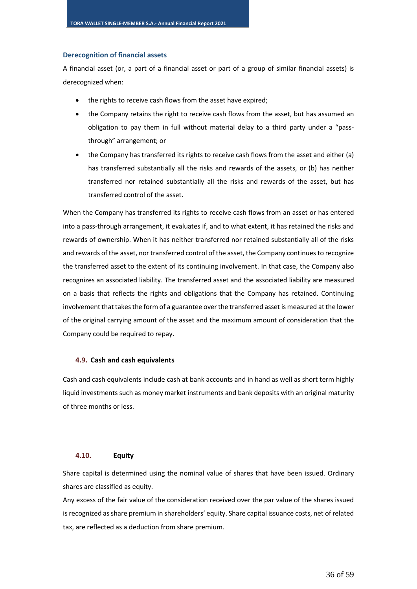#### **Derecognition of financial assets**

A financial asset (or, a part of a financial asset or part of a group of similar financial assets) is derecognized when:

- the rights to receive cash flows from the asset have expired;
- the Company retains the right to receive cash flows from the asset, but has assumed an obligation to pay them in full without material delay to a third party under a "passthrough" arrangement; or
- the Company has transferred its rights to receive cash flows from the asset and either (a) has transferred substantially all the risks and rewards of the assets, or (b) has neither transferred nor retained substantially all the risks and rewards of the asset, but has transferred control of the asset.

When the Company has transferred its rights to receive cash flows from an asset or has entered into a pass-through arrangement, it evaluates if, and to what extent, it has retained the risks and rewards of ownership. When it has neither transferred nor retained substantially all of the risks and rewards of the asset, nor transferred control of the asset, the Company continues to recognize the transferred asset to the extent of its continuing involvement. In that case, the Company also recognizes an associated liability. The transferred asset and the associated liability are measured on a basis that reflects the rights and obligations that the Company has retained. Continuing involvement that takes the form of a guarantee over the transferred asset is measured at the lower of the original carrying amount of the asset and the maximum amount of consideration that the Company could be required to repay.

#### <span id="page-38-0"></span>**4.9. Cash and cash equivalents**

Cash and cash equivalents include cash at bank accounts and in hand as well as short term highly liquid investments such as money market instruments and bank deposits with an original maturity of three months or less.

#### <span id="page-38-1"></span>**4.10. Equity**

Share capital is determined using the nominal value of shares that have been issued. Ordinary shares are classified as equity.

Any excess of the fair value of the consideration received over the par value of the shares issued is recognized as share premium in shareholders' equity. Share capital issuance costs, net of related tax, are reflected as a deduction from share premium.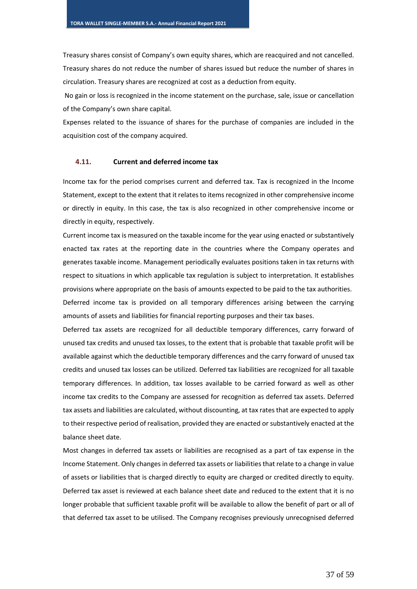Treasury shares consist of Company's own equity shares, which are reacquired and not cancelled. Treasury shares do not reduce the number of shares issued but reduce the number of shares in circulation. Treasury shares are recognized at cost as a deduction from equity.

No gain or loss is recognized in the income statement on the purchase, sale, issue or cancellation of the Company's own share capital.

Expenses related to the issuance of shares for the purchase of companies are included in the acquisition cost of the company acquired.

## <span id="page-39-0"></span>**4.11. Current and deferred income tax**

Income tax for the period comprises current and deferred tax. Tax is recognized in the Income Statement, except to the extent that it relates to items recognized in other comprehensive income or directly in equity. In this case, the tax is also recognized in other comprehensive income or directly in equity, respectively.

Current income tax is measured on the taxable income for the year using enacted or substantively enacted tax rates at the reporting date in the countries where the Company operates and generates taxable income. Management periodically evaluates positions taken in tax returns with respect to situations in which applicable tax regulation is subject to interpretation. It establishes provisions where appropriate on the basis of amounts expected to be paid to the tax authorities. Deferred income tax is provided on all temporary differences arising between the carrying amounts of assets and liabilities for financial reporting purposes and their tax bases.

Deferred tax assets are recognized for all deductible temporary differences, carry forward of unused tax credits and unused tax losses, to the extent that is probable that taxable profit will be available against which the deductible temporary differences and the carry forward of unused tax credits and unused tax losses can be utilized. Deferred tax liabilities are recognized for all taxable temporary differences. In addition, tax losses available to be carried forward as well as other income tax credits to the Company are assessed for recognition as deferred tax assets. Deferred tax assets and liabilities are calculated, without discounting, at tax rates that are expected to apply to their respective period of realisation, provided they are enacted or substantively enacted at the balance sheet date.

Most changes in deferred tax assets or liabilities are recognised as a part of tax expense in the Income Statement. Only changes in deferred tax assets or liabilities that relate to a change in value of assets or liabilities that is charged directly to equity are charged or credited directly to equity. Deferred tax asset is reviewed at each balance sheet date and reduced to the extent that it is no longer probable that sufficient taxable profit will be available to allow the benefit of part or all of that deferred tax asset to be utilised. The Company recognises previously unrecognised deferred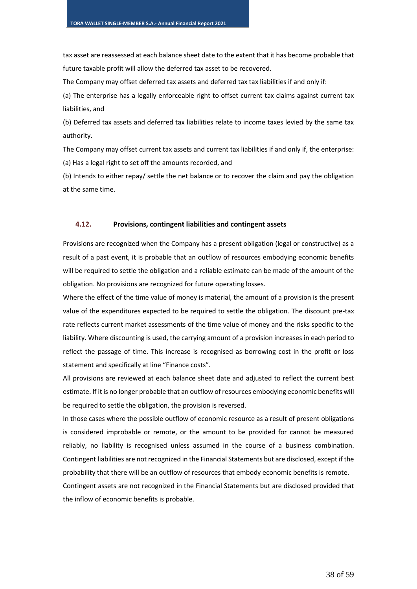tax asset are reassessed at each balance sheet date to the extent that it has become probable that future taxable profit will allow the deferred tax asset to be recovered.

The Company may offset deferred tax assets and deferred tax tax liabilities if and only if:

(a) The enterprise has a legally enforceable right to offset current tax claims against current tax liabilities, and

(b) Deferred tax assets and deferred tax liabilities relate to income taxes levied by the same tax authority.

The Company may offset current tax assets and current tax liabilities if and only if, the enterprise: (a) Has a legal right to set off the amounts recorded, and

(b) Intends to either repay/ settle the net balance or to recover the claim and pay the obligation at the same time.

#### <span id="page-40-0"></span>**4.12. Provisions, contingent liabilities and contingent assets**

Provisions are recognized when the Company has a present obligation (legal or constructive) as a result of a past event, it is probable that an outflow of resources embodying economic benefits will be required to settle the obligation and a reliable estimate can be made of the amount of the obligation. No provisions are recognized for future operating losses.

Where the effect of the time value of money is material, the amount of a provision is the present value of the expenditures expected to be required to settle the obligation. The discount pre-tax rate reflects current market assessments of the time value of money and the risks specific to the liability. Where discounting is used, the carrying amount of a provision increases in each period to reflect the passage of time. This increase is recognised as borrowing cost in the profit or loss statement and specifically at line "Finance costs".

All provisions are reviewed at each balance sheet date and adjusted to reflect the current best estimate. If it is no longer probable that an outflow of resources embodying economic benefits will be required to settle the obligation, the provision is reversed.

In those cases where the possible outflow of economic resource as a result of present obligations is considered improbable or remote, or the amount to be provided for cannot be measured reliably, no liability is recognised unless assumed in the course of a business combination. Contingent liabilities are not recognized in the Financial Statements but are disclosed, except if the probability that there will be an outflow of resources that embody economic benefits is remote. Contingent assets are not recognized in the Financial Statements but are disclosed provided that the inflow of economic benefits is probable.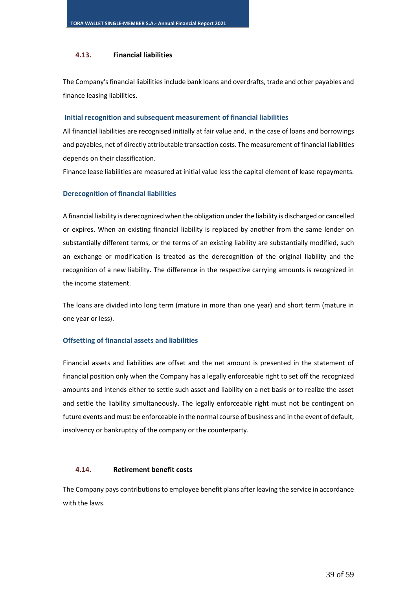#### <span id="page-41-0"></span>**4.13. Financial liabilities**

The Company's financial liabilities include bank loans and overdrafts, trade and other payables and finance leasing liabilities.

#### **Initial recognition and subsequent measurement of financial liabilities**

All financial liabilities are recognised initially at fair value and, in the case of loans and borrowings and payables, net of directly attributable transaction costs. The measurement of financial liabilities depends on their classification.

Finance lease liabilities are measured at initial value less the capital element of lease repayments.

#### **Derecognition of financial liabilities**

A financial liability is derecognized when the obligation under the liability is discharged or cancelled or expires. When an existing financial liability is replaced by another from the same lender on substantially different terms, or the terms of an existing liability are substantially modified, such an exchange or modification is treated as the derecognition of the original liability and the recognition of a new liability. The difference in the respective carrying amounts is recognized in the income statement.

The loans are divided into long term (mature in more than one year) and short term (mature in one year or less).

#### **Offsetting of financial assets and liabilities**

Financial assets and liabilities are offset and the net amount is presented in the statement of financial position only when the Company has a legally enforceable right to set off the recognized amounts and intends either to settle such asset and liability on a net basis or to realize the asset and settle the liability simultaneously. The legally enforceable right must not be contingent on future events and must be enforceable in the normal course of business and in the event of default, insolvency or bankruptcy of the company or the counterparty.

#### <span id="page-41-1"></span>**4.14. Retirement benefit costs**

The Company pays contributions to employee benefit plans after leaving the service in accordance with the laws.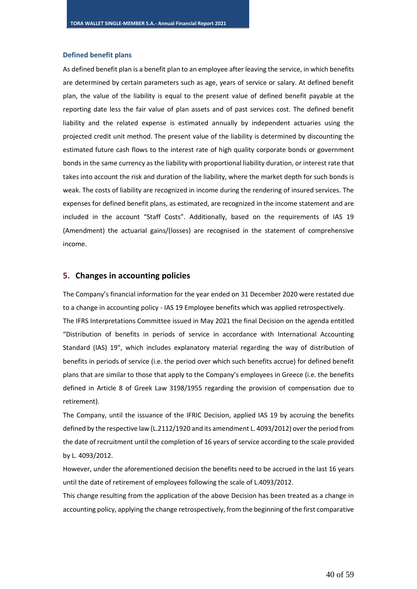#### **Defined benefit plans**

As defined benefit plan is a benefit plan to an employee after leaving the service, in which benefits are determined by certain parameters such as age, years of service or salary. At defined benefit plan, the value of the liability is equal to the present value of defined benefit payable at the reporting date less the fair value of plan assets and of past services cost. The defined benefit liability and the related expense is estimated annually by independent actuaries using the projected credit unit method. The present value of the liability is determined by discounting the estimated future cash flows to the interest rate of high quality corporate bonds or government bonds in the same currency as the liability with proportional liability duration, or interest rate that takes into account the risk and duration of the liability, where the market depth for such bonds is weak. The costs of liability are recognized in income during the rendering of insured services. The expenses for defined benefit plans, as estimated, are recognized in the income statement and are included in the account "Staff Costs". Additionally, based on the requirements of IAS 19 (Amendment) the actuarial gains/(losses) are recognised in the statement of comprehensive income.

## <span id="page-42-0"></span>**5. Changes in accounting policies**

The Company's financial information for the year ended on 31 December 2020 were restated due to a change in accounting policy - IAS 19 Employee benefits which was applied retrospectively. The IFRS Interpretations Committee issued in May 2021 the final Decision on the agenda entitled "Distribution of benefits in periods of service in accordance with International Accounting Standard (IAS) 19", which includes explanatory material regarding the way of distribution of benefits in periods of service (i.e. the period over which such benefits accrue) for defined benefit plans that are similar to those that apply to the Company's employees in Greece (i.e. the benefits defined in Article 8 of Greek Law 3198/1955 regarding the provision of compensation due to retirement).

The Company, until the issuance of the IFRIC Decision, applied IAS 19 by accruing the benefits defined by the respective law (L.2112/1920 and its amendment L. 4093/2012) over the period from the date of recruitment until the completion of 16 years of service according to the scale provided by L. 4093/2012.

However, under the aforementioned decision the benefits need to be accrued in the last 16 years until the date of retirement of employees following the scale of L.4093/2012.

This change resulting from the application of the above Decision has been treated as a change in accounting policy, applying the change retrospectively, from the beginning of the first comparative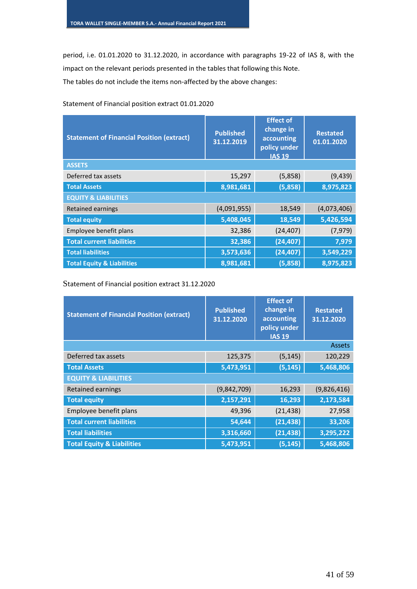period, i.e. 01.01.2020 to 31.12.2020, in accordance with paragraphs 19-22 of IAS 8, with the impact on the relevant periods presented in the tables that following this Note. The tables do not include the items non-affected by the above changes:

# Statement of Financial position extract 01.01.2020

| <b>Statement of Financial Position (extract)</b> | <b>Published</b><br>31.12.2019 | <b>Effect of</b><br>change in<br>accounting<br>policy under<br><b>IAS 19</b> | <b>Restated</b><br>01.01.2020 |
|--------------------------------------------------|--------------------------------|------------------------------------------------------------------------------|-------------------------------|
| <b>ASSETS</b>                                    |                                |                                                                              |                               |
| Deferred tax assets                              | 15,297                         | (5,858)                                                                      | (9, 439)                      |
| <b>Total Assets</b>                              | 8,981,681                      | (5,858)                                                                      | 8,975,823                     |
| <b>EQUITY &amp; LIABILITIES</b>                  |                                |                                                                              |                               |
| <b>Retained earnings</b>                         | (4,091,955)                    | 18,549                                                                       | (4,073,406)                   |
| <b>Total equity</b>                              | 5,408,045                      | 18,549                                                                       | 5,426,594                     |
| Employee benefit plans                           | 32,386                         | (24, 407)                                                                    | (7, 979)                      |
| <b>Total current liabilities</b>                 | 32,386                         | (24, 407)                                                                    | 7,979                         |
| <b>Total liabilities</b>                         | 3,573,636                      | (24, 407)                                                                    | 3,549,229                     |
| <b>Total Equity &amp; Liabilities</b>            | 8,981,681                      | (5,858)                                                                      | 8,975,823                     |

Statement of Financial position extract 31.12.2020

| <b>Statement of Financial Position (extract)</b> | <b>Published</b><br>31.12.2020 | <b>Effect of</b><br>change in<br>accounting<br>policy under<br><b>IAS 19</b> | <b>Restated</b><br>31.12.2020 |
|--------------------------------------------------|--------------------------------|------------------------------------------------------------------------------|-------------------------------|
|                                                  |                                |                                                                              | <b>Assets</b>                 |
| Deferred tax assets                              | 125,375                        | (5, 145)                                                                     | 120,229                       |
| <b>Total Assets</b>                              | 5,473,951                      | (5, 145)                                                                     | 5,468,806                     |
| <b>EQUITY &amp; LIABILITIES</b>                  |                                |                                                                              |                               |
| Retained earnings                                | (9,842,709)                    | 16,293                                                                       | (9,826,416)                   |
| <b>Total equity</b>                              | 2,157,291                      | 16,293                                                                       | 2,173,584                     |
| Employee benefit plans                           | 49,396                         | (21, 438)                                                                    | 27,958                        |
| <b>Total current liabilities</b>                 | 54,644                         | (21, 438)                                                                    | 33,206                        |
| <b>Total liabilities</b>                         | 3,316,660                      | (21, 438)                                                                    | 3,295,222                     |
| <b>Total Equity &amp; Liabilities</b>            | 5,473,951                      | (5, 145)                                                                     | 5,468,806                     |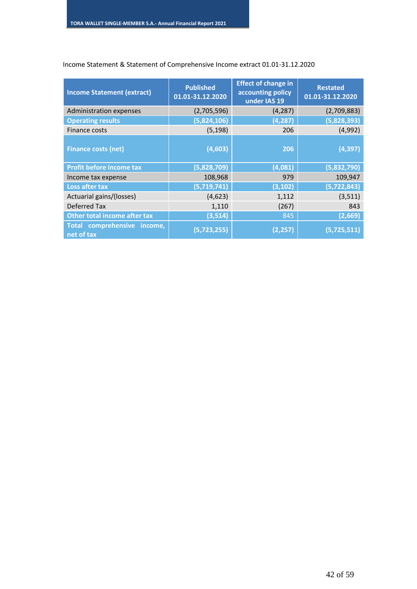| <b>Income Statement (extract)</b>         | <b>Published</b><br>01.01-31.12.2020 | <b>Effect of change in</b><br>accounting policy<br>under IAS 19 | <b>Restated</b><br>01.01-31.12.2020 |
|-------------------------------------------|--------------------------------------|-----------------------------------------------------------------|-------------------------------------|
| Administration expenses                   | (2,705,596)                          | (4, 287)                                                        | (2,709,883)                         |
| <b>Operating results</b>                  | (5,824,106)                          | (4, 287)                                                        | (5,828,393)                         |
| Finance costs                             | (5, 198)                             | 206                                                             | (4,992)                             |
| <b>Finance costs (net)</b>                | (4,603)                              | 206                                                             | (4, 397)                            |
| <b>Profit before income tax</b>           | (5,828,709)                          | (4,081)                                                         | (5,832,790)                         |
| Income tax expense                        | 108,968                              | 979                                                             | 109,947                             |
| Loss after tax                            | (5,719,741)                          | (3, 102)                                                        | (5,722,843)                         |
| Actuarial gains/(losses)                  | (4,623)                              | 1,112                                                           | (3,511)                             |
| Deferred Tax                              | 1,110                                | (267)                                                           | 843                                 |
| Other total income after tax              | (3, 514)                             | 845                                                             | (2,669)                             |
| Total comprehensive income,<br>net of tax | (5,723,255)                          | (2, 257)                                                        | (5,725,511)                         |

# Income Statement & Statement of Comprehensive Income extract 01.01-31.12.2020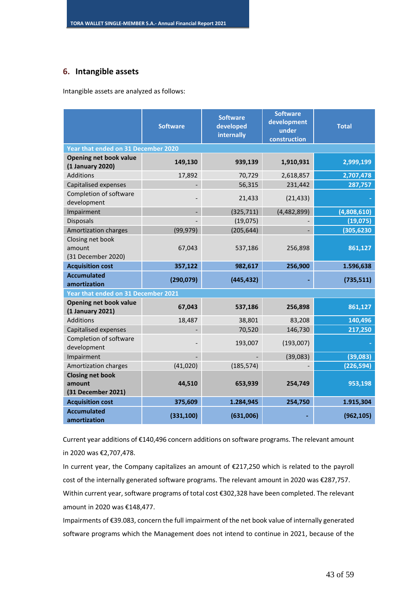# <span id="page-45-0"></span>**6. Intangible assets**

Intangible assets are analyzed as follows:

| Year that ended on 31 December 2020                     | <b>Software</b> | <b>Software</b><br>developed<br>internally | <b>Software</b><br>development<br>under<br>construction | <b>Total</b> |
|---------------------------------------------------------|-----------------|--------------------------------------------|---------------------------------------------------------|--------------|
|                                                         |                 |                                            |                                                         |              |
| Opening net book value<br>(1 January 2020)              | 149,130         | 939,139                                    | 1,910,931                                               | 2,999,199    |
| <b>Additions</b>                                        | 17,892          | 70,729                                     | 2,618,857                                               | 2,707,478    |
| Capitalised expenses                                    |                 | 56,315                                     | 231,442                                                 | 287,757      |
| Completion of software<br>development                   |                 | 21,433                                     | (21, 433)                                               |              |
| Impairment                                              |                 | (325, 711)                                 | (4,482,899)                                             | (4,808,610)  |
| <b>Disposals</b>                                        |                 | (19,075)                                   |                                                         | (19,075)     |
| <b>Amortization charges</b>                             | (99, 979)       | (205, 644)                                 |                                                         | (305, 6230)  |
| Closing net book<br>amount<br>(31 December 2020)        | 67,043          | 537,186                                    | 256,898                                                 | 861,127      |
| <b>Acquisition cost</b>                                 | 357,122         | 982,617                                    | 256,900                                                 | 1.596,638    |
| <b>Accumulated</b><br>amortization                      | (290, 079)      | (445, 432)                                 |                                                         | (735, 511)   |
| Year that ended on 31 December 2021                     |                 |                                            |                                                         |              |
| Opening net book value<br>(1 January 2021)              | 67,043          | 537,186                                    | 256,898                                                 | 861,127      |
| <b>Additions</b>                                        | 18,487          | 38,801                                     | 83,208                                                  | 140,496      |
| Capitalised expenses                                    |                 | 70,520                                     | 146,730                                                 | 217,250      |
| Completion of software<br>development                   |                 | 193,007                                    | (193,007)                                               |              |
| Impairment                                              |                 |                                            | (39,083)                                                | (39,083)     |
| Amortization charges                                    | (41, 020)       | (185, 574)                                 |                                                         | (226, 594)   |
| <b>Closing net book</b><br>amount<br>(31 December 2021) | 44,510          | 653,939                                    | 254,749                                                 | 953,198      |
| <b>Acquisition cost</b>                                 | 375,609         | 1.284,945                                  | 254,750                                                 | 1.915,304    |
| <b>Accumulated</b><br>amortization                      | (331, 100)      | (631,006)                                  |                                                         | (962, 105)   |

Current year additions of €140,496 concern additions on software programs. The relevant amount in 2020 was €2,707,478.

In current year, the Company capitalizes an amount of €217,250 which is related to the payroll cost of the internally generated software programs. The relevant amount in 2020 was €287,757. Within current year, software programs of total cost €302,328 have been completed. The relevant amount in 2020 was €148,477.

Impairments of €39.083, concern the full impairment of the net book value of internally generated software programs which the Management does not intend to continue in 2021, because of the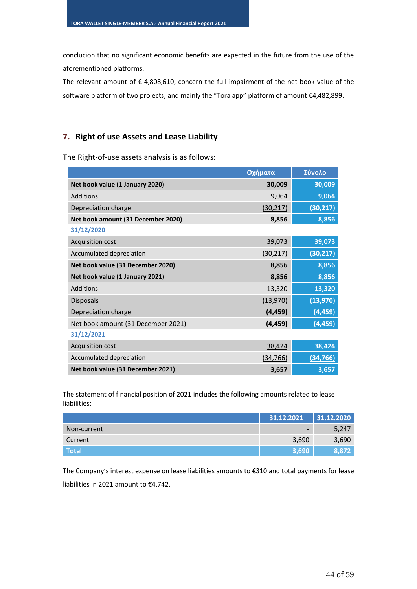conclucion that no significant economic benefits are expected in the future from the use of the aforementioned platforms.

The relevant amount of  $\epsilon$  4,808,610, concern the full impairment of the net book value of the software platform of two projects, and mainly the "Tora app" platform of amount €4,482,899.

# <span id="page-46-0"></span>**7. Right of use Assets and Lease Liability**

The Right-of-use assets analysis is as follows:

|                                    | Οχήματα   | Σύνολο    |
|------------------------------------|-----------|-----------|
| Net book value (1 January 2020)    | 30,009    | 30,009    |
| <b>Additions</b>                   | 9,064     | 9,064     |
| Depreciation charge                | (30, 217) | (30, 217) |
| Net book amount (31 December 2020) | 8,856     | 8,856     |
| 31/12/2020                         |           |           |
| <b>Acquisition cost</b>            | 39,073    | 39,073    |
| Accumulated depreciation           | (30, 217) | (30, 217) |
| Net book value (31 December 2020)  | 8,856     | 8,856     |
| Net book value (1 January 2021)    | 8,856     | 8,856     |
| Additions                          | 13,320    | 13,320    |
| <b>Disposals</b>                   | (13,970)  | (13,970)  |
| Depreciation charge                | (4, 459)  | (4, 459)  |
| Net book amount (31 December 2021) | (4, 459)  | (4, 459)  |
| 31/12/2021                         |           |           |
| Acquisition cost                   | 38,424    | 38,424    |
| Accumulated depreciation           | (34, 766) | (34, 766) |
| Net book value (31 December 2021)  | 3,657     | 3,657     |

The statement of financial position of 2021 includes the following amounts related to lease liabilities:

|             | 31.12.2021 | $\parallel$ 31.12.2020 |
|-------------|------------|------------------------|
| Non-current | -          | 5,247                  |
| Current     | 3,690      | 3,690                  |
| Total       | 3.690      | 8.872                  |

The Company's interest expense on lease liabilities amounts to €310 and total payments for lease liabilities in 2021 amount to €4,742.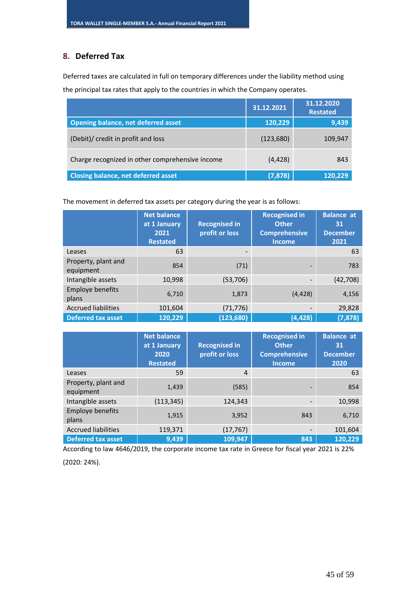# <span id="page-47-0"></span>**8. Deferred Tax**

Deferred taxes are calculated in full on temporary differences under the liability method using the principal tax rates that apply to the countries in which the Company operates.

|                                                 | 31.12.2021 | 31.12.2020<br><b>Restated</b> |
|-------------------------------------------------|------------|-------------------------------|
| Opening balance, net deferred asset             | 120,229    | 9,439                         |
| (Debit)/ credit in profit and loss              | (123, 680) | 109,947                       |
| Charge recognized in other comprehensive income | (4, 428)   | 843                           |
| <b>Closing balance, net deferred asset</b>      | (7, 878)   | 120,229                       |

The movement in deferred tax assets per category during the year is as follows:

|                                  | <b>Net balance</b><br>at 1 January<br>2021<br><b>Restated</b> | <b>Recognised in</b><br>profit or loss | <b>Recognised in</b><br><b>Other</b><br><b>Comprehensive</b><br><b>Income</b> | <b>Balance at</b><br>31<br><b>December</b><br>2021 |
|----------------------------------|---------------------------------------------------------------|----------------------------------------|-------------------------------------------------------------------------------|----------------------------------------------------|
| Leases                           | 63                                                            |                                        |                                                                               | 63                                                 |
| Property, plant and<br>equipment | 854                                                           | (71)                                   | -                                                                             | 783                                                |
| Intangible assets                | 10,998                                                        | (53, 706)                              |                                                                               | (42, 708)                                          |
| <b>Employe benefits</b><br>plans | 6,710                                                         | 1,873                                  | (4, 428)                                                                      | 4,156                                              |
| <b>Accrued liabilities</b>       | 101,604                                                       | (71, 776)                              |                                                                               | 29,828                                             |
| <b>Deferred tax asset</b>        | 120,229                                                       | (123, 680)                             | (4, 428)                                                                      | (7, 878)                                           |

|                                  | <b>Net balance</b><br>at 1 January<br>2020<br><b>Restated</b> | <b>Recognised in</b><br>profit or loss | <b>Recognised in</b><br><b>Other</b><br><b>Comprehensive</b><br><b>Income</b> | <b>Balance at</b><br>31<br><b>December</b><br>2020 |
|----------------------------------|---------------------------------------------------------------|----------------------------------------|-------------------------------------------------------------------------------|----------------------------------------------------|
| Leases                           | 59                                                            | $\overline{4}$                         |                                                                               | 63                                                 |
| Property, plant and<br>equipment | 1,439                                                         | (585)                                  |                                                                               | 854                                                |
| Intangible assets                | (113, 345)                                                    | 124,343                                |                                                                               | 10,998                                             |
| <b>Employe benefits</b><br>plans | 1,915                                                         | 3,952                                  | 843                                                                           | 6,710                                              |
| <b>Accrued liabilities</b>       | 119,371                                                       | (17, 767)                              |                                                                               | 101,604                                            |
| <b>Deferred tax asset</b>        | 9,439                                                         | 109,947                                | 843                                                                           | 120,229                                            |

According to law 4646/2019, the corporate income tax rate in Greece for fiscal year 2021 is 22%

(2020: 24%).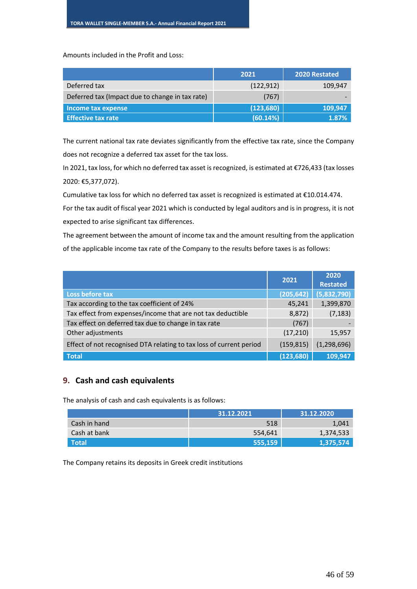Amounts included in the Profit and Loss:

|                                                 | 2021       | 2020 Restated |
|-------------------------------------------------|------------|---------------|
| Deferred tax                                    | (122, 912) | 109,947       |
| Deferred tax (Impact due to change in tax rate) | (767)      |               |
| Income tax expense                              | (123, 680) | 109,947       |
| <b>Effective tax rate</b>                       | (60.14%)   | 1.87%         |

The current national tax rate deviates significantly from the effective tax rate, since the Company does not recognize a deferred tax asset for the tax loss.

In 2021, tax loss, for which no deferred tax asset is recognized, is estimated at €726,433 (tax losses 2020: €5,377,072).

Cumulative tax loss for which no deferred tax asset is recognized is estimated at €10.014.474.

For the tax audit of fiscal year 2021 which is conducted by legal auditors and is in progress, it is not expected to arise significant tax differences.

The agreement between the amount of income tax and the amount resulting from the application of the applicable income tax rate of the Company to the results before taxes is as follows:

|                                                                     | 2021       | 2020<br><b>Restated</b> |
|---------------------------------------------------------------------|------------|-------------------------|
| Loss before tax                                                     | (205, 642) | (5,832,790)             |
| Tax according to the tax coefficient of 24%                         | 45,241     | 1,399,870               |
| Tax effect from expenses/income that are not tax deductible         | 8,872)     | (7, 183)                |
| Tax effect on deferred tax due to change in tax rate                | (767)      |                         |
| Other adjustments                                                   | (17, 210)  | 15,957                  |
| Effect of not recognised DTA relating to tax loss of current period | (159, 815) | (1,298,696)             |
| <b>Total</b>                                                        | (123, 680) | 109,947                 |

# <span id="page-48-0"></span>**9. Cash and cash equivalents**

The analysis of cash and cash equivalents is as follows:

|              | 31.12.2021 | 31.12.2020 |
|--------------|------------|------------|
| Cash in hand | 518        | 1,041      |
| Cash at bank | 554,641    | 1,374,533  |
| <b>Notal</b> | 555,159    | 1,375,574  |

The Company retains its deposits in Greek credit institutions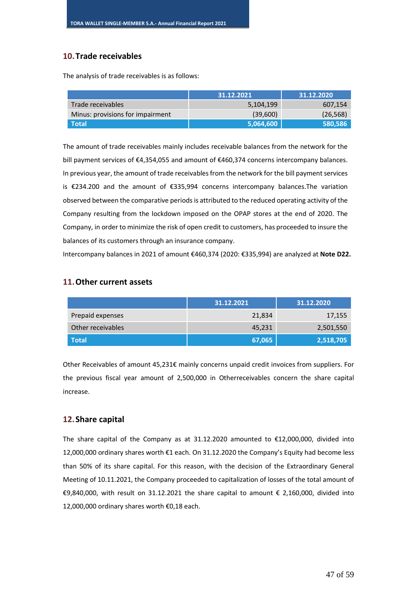# <span id="page-49-0"></span>**10.Trade receivables**

The analysis of trade receivables is as follows:

|                                  | 31.12.2021 | 31.12.2020 |
|----------------------------------|------------|------------|
| Trade receivables                | 5,104,199  | 607,154    |
| Minus: provisions for impairment | (39,600)   | (26, 568)  |
| Total                            | 5,064,600  | 580.586    |

The amount of trade receivables mainly includes receivable balances from the network for the bill payment services of €4,354,055 and amount of €460,374 concerns intercompany balances. In previous year, the amount of trade receivables from the network for the bill payment services is €234.200 and the amount of €335,994 concerns intercompany balances.The variation observed between the comparative periods is attributed to the reduced operating activity of the Company resulting from the lockdown imposed on the OPAP stores at the end of 2020. The Company, in order to minimize the risk of open credit to customers, has proceeded to insure the balances of its customers through an insurance company.

Intercompany balances in 2021 of amount €460,374 (2020: €335,994) are analyzed at **Note D22.**

# <span id="page-49-1"></span>**11.Other current assets**

|                   | 31.12.2021 | 31.12.2020 |
|-------------------|------------|------------|
| Prepaid expenses  | 21,834     | 17,155     |
| Other receivables | 45,231     | 2,501,550  |
| <b>Total</b>      | 67,065     | 2,518,705  |

Other Receivables of amount 45,231€ mainly concerns unpaid credit invoices from suppliers. For the previous fiscal year amount of 2,500,000 in Otherreceivables concern the share capital increase.

# <span id="page-49-2"></span>**12.Share capital**

The share capital of the Company as at 31.12.2020 amounted to  $£12,000,000$ , divided into 12,000,000 ordinary shares worth €1 each. On 31.12.2020 the Company's Equity had become less than 50% of its share capital. For this reason, with the decision of the Extraordinary General Meeting of 10.11.2021, the Company proceeded to capitalization of losses of the total amount of €9,840,000, with result on 31.12.2021 the share capital to amount € 2,160,000, divided into 12,000,000 ordinary shares worth €0,18 each.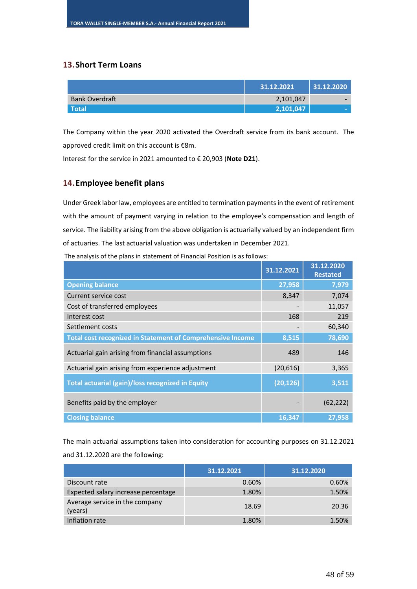# <span id="page-50-0"></span>**13.Short Term Loans**

|                | 31.12.2021 | 31.12.2020 |
|----------------|------------|------------|
| Bank Overdraft | 2,101,047  |            |
| <b>N</b> Total | 2,101,047  |            |

The Company within the year 2020 activated the Overdraft service from its bank account. The approved credit limit on this account is €8m.

Interest for the service in 2021 amounted to € 20,903 (**Note D21**).

# <span id="page-50-1"></span>**14.Employee benefit plans**

Under Greek labor law, employees are entitled to termination payments in the event of retirement with the amount of payment varying in relation to the employee's compensation and length of service. The liability arising from the above obligation is actuarially valued by an independent firm of actuaries. The last actuarial valuation was undertaken in December 2021.

The analysis of the plans in statement of Financial Position is as follows:

|                                                            | 31.12.2021 | 31.12.2020<br><b>Restated</b> |
|------------------------------------------------------------|------------|-------------------------------|
| <b>Opening balance</b>                                     | 27,958     | 7,979                         |
| Current service cost                                       | 8,347      | 7,074                         |
| Cost of transferred employees                              |            | 11,057                        |
| Interest cost                                              | 168        | 219                           |
| Settlement costs                                           |            | 60,340                        |
| Total cost recognized in Statement of Comprehensive Income | 8,515      | 78,690                        |
| Actuarial gain arising from financial assumptions          | 489        | 146                           |
| Actuarial gain arising from experience adjustment          | (20, 616)  | 3,365                         |
| <b>Total actuarial (gain)/loss recognized in Equity</b>    | (20, 126)  | 3,511                         |
| Benefits paid by the employer                              |            | (62, 222)                     |
| <b>Closing balance</b>                                     | 16,347     | 27,958                        |

The main actuarial assumptions taken into consideration for accounting purposes on 31.12.2021 and 31.12.2020 are the following:

|                                           | 31.12.2021 | 31.12.2020 |
|-------------------------------------------|------------|------------|
| Discount rate                             | 0.60%      | 0.60%      |
| Expected salary increase percentage       | 1.80%      | 1.50%      |
| Average service in the company<br>(years) | 18.69      | 20.36      |
| Inflation rate                            | 1.80%      | 1.50%      |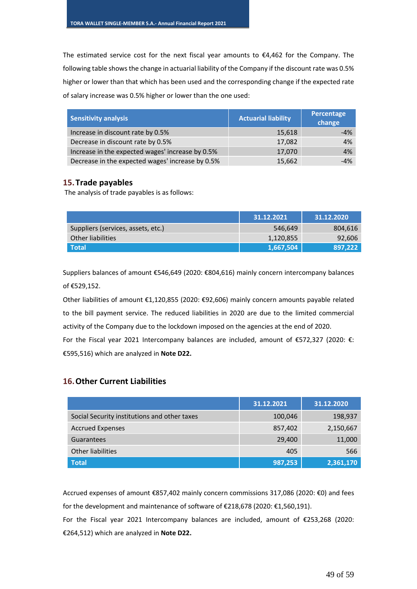The estimated service cost for the next fiscal year amounts to  $\epsilon$ 4,462 for the Company. The following table shows the change in actuarial liability of the Company if the discount rate was 0.5% higher or lower than that which has been used and the corresponding change if the expected rate of salary increase was 0.5% higher or lower than the one used:

| <b>Sensitivity analysis</b>                      | <b>Actuarial liability</b> | Percentage<br>change |
|--------------------------------------------------|----------------------------|----------------------|
| Increase in discount rate by 0.5%                | 15,618                     | $-4%$                |
| Decrease in discount rate by 0.5%                | 17,082                     | 4%                   |
| Increase in the expected wages' increase by 0.5% | 17,070                     | 4%                   |
| Decrease in the expected wages' increase by 0.5% | 15,662                     | $-4\%$               |

# <span id="page-51-0"></span>**15.Τrade payables**

The analysis of trade payables is as follows:

|                                    | 31.12.2021 | 31.12.2020 |
|------------------------------------|------------|------------|
| Suppliers (services, assets, etc.) | 546,649    | 804.616    |
| Other liabilities                  | 1,120,855  | 92,606     |
| <b>Total</b>                       | 1,667,504  | 897,222    |

Suppliers balances of amount €546,649 (2020: €804,616) mainly concern intercompany balances of €529,152.

Other liabilities of amount €1,120,855 (2020: €92,606) mainly concern amounts payable related to the bill payment service. The reduced liabilities in 2020 are due to the limited commercial activity of the Company due to the lockdown imposed on the agencies at the end of 2020. For the Fiscal year 2021 Intercompany balances are included, amount of €572,327 (2020: €: €595,516) which are analyzed in **Note D22.**

# <span id="page-51-1"></span>**16.Other Current Liabilities**

|                                              | 31.12.2021 | 31.12.2020 |
|----------------------------------------------|------------|------------|
| Social Security institutions and other taxes | 100,046    | 198,937    |
| <b>Accrued Expenses</b>                      | 857,402    | 2,150,667  |
| Guarantees                                   | 29,400     | 11,000     |
| <b>Other liabilities</b>                     | 405        | 566        |
| <b>Total</b>                                 | 987,253    | 2,361,170  |

Accrued expenses of amount €857,402 mainly concern commissions 317,086 (2020: €0) and fees for the development and maintenance of software of €218,678 (2020: €1,560,191).

For the Fiscal year 2021 Intercompany balances are included, amount of €253,268 (2020: €264,512) which are analyzed in **Note D22.**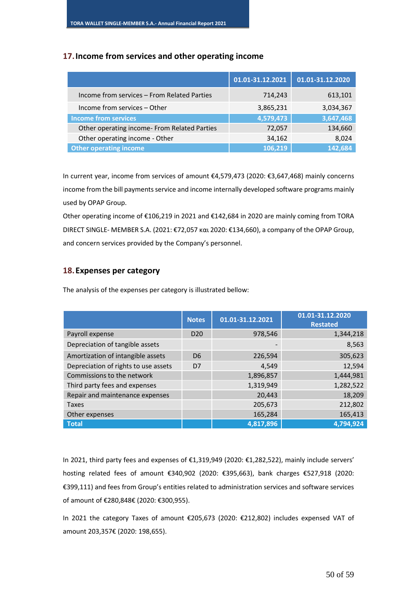|                                              | 01.01-31.12.2021 | 01.01-31.12.2020 |
|----------------------------------------------|------------------|------------------|
| Income from services - From Related Parties  | 714,243          | 613,101          |
| Income from services – Other                 | 3,865,231        | 3,034,367        |
| <b>Income from services</b>                  | 4,579,473        | 3,647,468        |
| Other operating income- From Related Parties | 72,057           | 134,660          |
| Other operating income - Other               | 34,162           | 8,024            |
| <b>Other operating income</b>                | 106,219          | 142,684          |

# <span id="page-52-0"></span>**17.Income from services and other operating income**

In current year, income from services of amount €4,579,473 (2020: €3,647,468) mainly concerns income from the bill payments service and income internally developed software programs mainly used by OPAP Group.

Other operating income of €106,219 in 2021 and €142,684 in 2020 are mainly coming from TORA DIRECT SINGLE- MEMBER S.A. (2021: €72,057 και 2020: €134,660), a company of the OPAP Group, and concern services provided by the Company's personnel.

# <span id="page-52-1"></span>**18.Expenses per category**

The analysis of the expenses per category is illustrated bellow:

|                                      | <b>Notes</b>    | 01.01-31.12.2021 | 01.01-31.12.2020<br><b>Restated</b> |
|--------------------------------------|-----------------|------------------|-------------------------------------|
| Payroll expense                      | D <sub>20</sub> | 978,546          | 1,344,218                           |
| Depreciation of tangible assets      |                 |                  | 8,563                               |
| Amortization of intangible assets    | D <sub>6</sub>  | 226,594          | 305,623                             |
| Depreciation of rights to use assets | D <sub>7</sub>  | 4.549            | 12,594                              |
| Commissions to the network           |                 | 1,896,857        | 1,444,981                           |
| Third party fees and expenses        |                 | 1,319,949        | 1,282,522                           |
| Repair and maintenance expenses      |                 | 20,443           | 18,209                              |
| <b>Taxes</b>                         |                 | 205,673          | 212,802                             |
| Other expenses                       |                 | 165,284          | 165,413                             |
| <b>Total</b>                         |                 | 4,817,896        | 4,794,924                           |

In 2021, third party fees and expenses of €1,319,949 (2020: €1,282,522), mainly include servers' hosting related fees of amount €340,902 (2020: €395,663), bank charges €527,918 (2020: €399,111) and fees from Group's entities related to administration services and software services of amount of €280,848€ (2020: €300,955).

In 2021 the category Taxes of amount €205,673 (2020: €212,802) includes expensed VAT of amount 203,357€ (2020: 198,655).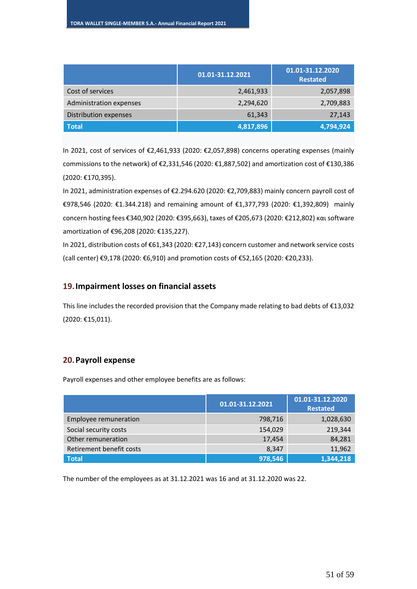|                         | 01.01-31.12.2021 | 01.01-31.12.2020<br><b>Restated</b> |
|-------------------------|------------------|-------------------------------------|
| Cost of services        | 2,461,933        | 2,057,898                           |
| Administration expenses | 2,294,620        | 2,709,883                           |
| Distribution expenses   | 61,343           | 27,143                              |
| <b>Total</b>            | 4,817,896        | 4,794,924                           |

In 2021, cost of services of €2,461,933 (2020: €2,057,898) concerns operating expenses (mainly commissions to the network) of €2,331,546 (2020: €1,887,502) and amortization cost of €130,386 (2020: €170,395).

In 2021, administration expenses of €2.294.620 (2020: €2,709,883) mainly concern payroll cost of €978,546 (2020: €1.344.218) and remaining amount of €1,377,793 (2020: €1,392,809) mainly concern hosting fees €340,902 (2020: €395,663), taxes of €205,673 (2020: €212,802) και software amortization of €96,208 (2020: €135,227).

In 2021, distribution costs of €61,343 (2020: €27,143) concern customer and network service costs (call center) €9,178 (2020: €6,910) and promotion costs of €52,165 (2020: €20,233).

# <span id="page-53-0"></span>**19.Impairment losses on financial assets**

This line includes the recorded provision that the Company made relating to bad debts of €13,032 (2020: €15,011).

# <span id="page-53-1"></span>**20.Payroll expense**

Payroll expenses and other employee benefits are as follows:

|                          | 01.01-31.12.2021 | 01.01-31.12.2020<br><b>Restated</b> |
|--------------------------|------------------|-------------------------------------|
| Employee remuneration    | 798,716          | 1,028,630                           |
| Social security costs    | 154,029          | 219,344                             |
| Other remuneration       | 17,454           | 84,281                              |
| Retirement benefit costs | 8,347            | 11,962                              |
| <b>Total</b>             | 978,546          | 1,344,218                           |

The number of the employees as at 31.12.2021 was 16 and at 31.12.2020 was 22.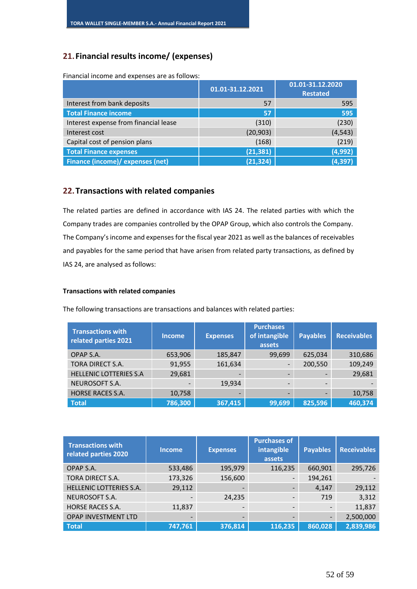# <span id="page-54-0"></span>**21.Financial results income/ (expenses)**

Financial income and expenses are as follows:

|                                         | 01.01-31.12.2021 | 01.01-31.12.2020<br><b>Restated</b> |
|-----------------------------------------|------------------|-------------------------------------|
| Interest from bank deposits             | 57               | 595                                 |
| <b>Total Finance income</b>             | 57               | 595                                 |
| Interest expense from financial lease   | (310)            | (230)                               |
| Interest cost                           | (20, 903)        | (4, 543)                            |
| Capital cost of pension plans           | (168)            | (219)                               |
| <b>Total Finance expenses</b>           | (21, 381)        | (4,992)                             |
| <b>Finance (income)/ expenses (net)</b> | (21, 324)        | (4, 397)                            |

# <span id="page-54-1"></span>**22.Transactions with related companies**

The related parties are defined in accordance with IAS 24. The related parties with which the Company trades are companies controlled by the OPAP Group, which also controls the Company. The Company's income and expenses for the fiscal year 2021 as well as the balances of receivables and payables for the same period that have arisen from related party transactions, as defined by IAS 24, are analysed as follows:

# **Transactions with related companies**

| <b>Transactions with</b><br>related parties 2021 | <b>Income</b> | <b>Expenses</b> | <b>Purchases</b><br>of intangible<br>assets | <b>Payables</b> | <b>Receivables</b> |
|--------------------------------------------------|---------------|-----------------|---------------------------------------------|-----------------|--------------------|
| OPAP S.A.                                        | 653,906       | 185,847         | 99,699                                      | 625,034         | 310,686            |
| TORA DIRECT S.A.                                 | 91,955        | 161,634         |                                             | 200,550         | 109,249            |
| <b>HELLENIC LOTTERIES S.A</b>                    | 29,681        |                 | $\overline{\phantom{0}}$                    |                 | 29,681             |
| NEUROSOFT S.A.                                   |               | 19,934          |                                             |                 |                    |
| <b>HORSE RACES S.A.</b>                          | 10,758        |                 | -                                           |                 | 10,758             |
| <b>Total</b>                                     | 786,300       | 367,415         | 99,699                                      | 825,596         | 460,374            |

The following transactions are transactions and balances with related parties:

| <b>Transactions with</b><br>related parties 2020 | <b>Income</b> | <b>Expenses</b> | <b>Purchases of</b><br>intangible<br>assets | <b>Payables</b> | <b>Receivables</b> |
|--------------------------------------------------|---------------|-----------------|---------------------------------------------|-----------------|--------------------|
| OPAP S.A.                                        | 533,486       | 195,979         | 116,235                                     | 660,901         | 295,726            |
| TORA DIRECT S.A.                                 | 173,326       | 156,600         | $\overline{\phantom{a}}$                    | 194,261         |                    |
| HELLENIC LOTTERIES S.A.                          | 29,112        | -               | -                                           | 4,147           | 29,112             |
| NEUROSOFT S.A.                                   |               | 24,235          | $\overline{\phantom{a}}$                    | 719             | 3,312              |
| HORSE RACES S.A.                                 | 11,837        | -               | $\overline{\phantom{a}}$                    |                 | 11,837             |
| <b>OPAP INVESTMENT LTD</b>                       |               | -               | $\overline{\phantom{0}}$                    |                 | 2,500,000          |
| <b>Total</b>                                     | 747,761       | 376,814         | 116,235                                     | 860,028         | 2,839,986          |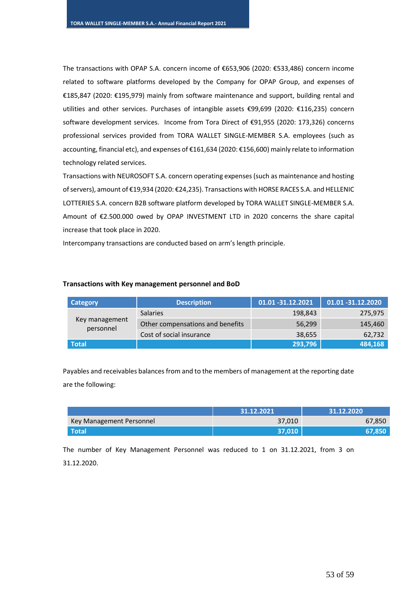The transactions with OPAP S.A. concern income of €653,906 (2020: €533,486) concern income related to software platforms developed by the Company for OPAP Group, and expenses of €185,847 (2020: €195,979) mainly from software maintenance and support, building rental and utilities and other services. Purchases of intangible assets €99,699 (2020: €116,235) concern software development services. Income from Tora Direct of €91,955 (2020: 173,326) concerns professional services provided from TORA WALLET SINGLE-MEMBER S.A. employees (such as accounting, financial etc), and expenses of €161,634 (2020: €156,600) mainly relate to information technology related services.

Transactions with NEUROSOFT S.A. concern operating expenses (such as maintenance and hosting of servers), amount of €19,934 (2020: €24,235). Transactions with HORSE RACES S.A. and HELLENIC LOTTERIES S.A. concern B2B software platform developed by TORA WALLET SINGLE-MEMBER S.A. Amount of €2.500.000 owed by OPAP INVESTMENT LTD in 2020 concerns the share capital increase that took place in 2020.

Intercompany transactions are conducted based on arm's length principle.

#### **Transactions with Key management personnel and BoD**

| Category                    | <b>Description</b>               | 01.01 -31.12.2021 | 01.01 -31.12.2020 |
|-----------------------------|----------------------------------|-------------------|-------------------|
| <b>Salaries</b>             |                                  | 198,843           | 275,975           |
| Key management<br>personnel | Other compensations and benefits | 56,299            | 145,460           |
|                             | Cost of social insurance         | 38,655            | 62,732            |
| <b>Total</b>                |                                  | 293,796           | 484,168           |

Payables and receivables balances from and to the members of management at the reporting date are the following:

|                                 | 31.12.2021 | 31.12.2020 |
|---------------------------------|------------|------------|
| <b>Key Management Personnel</b> | 37,010     | 67,850     |
| <b>\Total\</b>                  | 37.010     | 67.850     |

The number of Key Management Personnel was reduced to 1 on 31.12.2021, from 3 on 31.12.2020.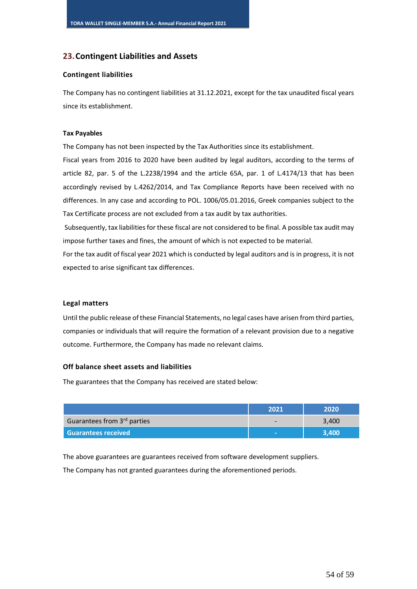# <span id="page-56-0"></span>**23.Contingent Liabilities and Assets**

#### **Contingent liabilities**

The Company has no contingent liabilities at 31.12.2021, except for the tax unaudited fiscal years since its establishment.

#### **Tax Payables**

The Company has not been inspected by the Tax Authorities since its establishment.

Fiscal years from 2016 to 2020 have been audited by legal auditors, according to the terms of article 82, par. 5 of the L.2238/1994 and the article 65A, par. 1 of L.4174/13 that has been accordingly revised by L.4262/2014, and Tax Compliance Reports have been received with no differences. In any case and according to POL. 1006/05.01.2016, Greek companies subject to the Tax Certificate process are not excluded from a tax audit by tax authorities.

Subsequently, tax liabilities for these fiscal are not considered to be final. A possible tax audit may impose further taxes and fines, the amount of which is not expected to be material.

For the tax audit of fiscal year 2021 which is conducted by legal auditors and is in progress, it is not expected to arise significant tax differences.

#### **Legal matters**

Until the public release of these Financial Statements, no legal cases have arisen from third parties, companies or individuals that will require the formation of a relevant provision due to a negative outcome. Furthermore, the Company has made no relevant claims.

## **Off balance sheet assets and liabilities**

The guarantees that the Company has received are stated below:

|                             | 2021                     | 2020  |
|-----------------------------|--------------------------|-------|
| Guarantees from 3rd parties | $\overline{\phantom{0}}$ | 3,400 |
| <b>Guarantees received</b>  | -                        | 3.400 |

The above guarantees are guarantees received from software development suppliers.

The Company has not granted guarantees during the aforementioned periods.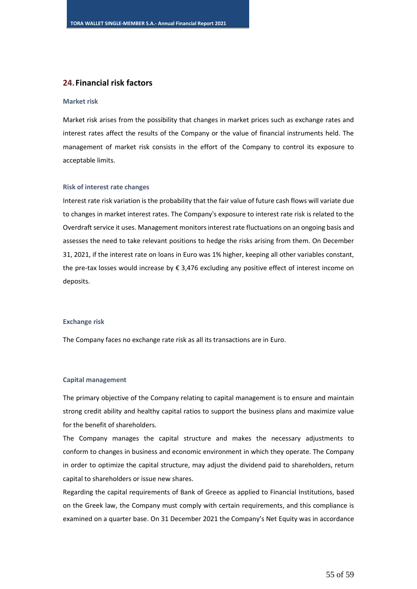# <span id="page-57-0"></span>**24.Financial risk factors**

#### **Market risk**

Market risk arises from the possibility that changes in market prices such as exchange rates and interest rates affect the results of the Company or the value of financial instruments held. The management of market risk consists in the effort of the Company to control its exposure to acceptable limits.

#### **Risk of interest rate changes**

Interest rate risk variation is the probability that the fair value of future cash flows will variate due to changes in market interest rates. The Company's exposure to interest rate risk is related to the Overdraft service it uses. Management monitors interest rate fluctuations on an ongoing basis and assesses the need to take relevant positions to hedge the risks arising from them. On December 31, 2021, if the interest rate on loans in Euro was 1% higher, keeping all other variables constant, the pre-tax losses would increase by  $\epsilon$  3,476 excluding any positive effect of interest income on deposits.

#### **Exchange risk**

The Company faces no exchange rate risk as all its transactions are in Euro.

#### **Capital management**

The primary objective of the Company relating to capital management is to ensure and maintain strong credit ability and healthy capital ratios to support the business plans and maximize value for the benefit of shareholders.

The Company manages the capital structure and makes the necessary adjustments to conform to changes in business and economic environment in which they operate. The Company in order to optimize the capital structure, may adjust the dividend paid to shareholders, return capital to shareholders or issue new shares.

Regarding the capital requirements of Bank of Greece as applied to Financial Institutions, based on the Greek law, the Company must comply with certain requirements, and this compliance is examined on a quarter base. On 31 December 2021 the Company's Net Equity was in accordance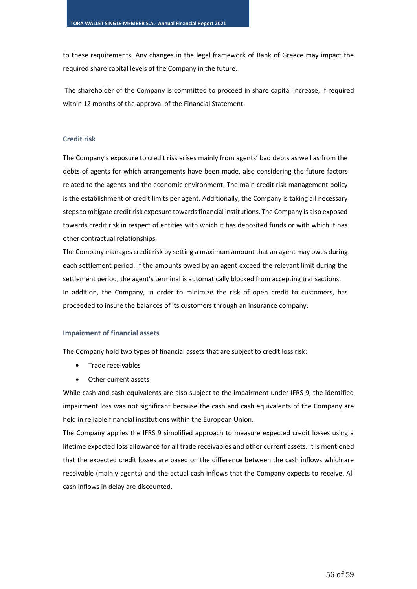to these requirements. Any changes in the legal framework of Bank of Greece may impact the required share capital levels of the Company in the future.

The shareholder of the Company is committed to proceed in share capital increase, if required within 12 months of the approval of the Financial Statement.

#### **Credit risk**

The Company's exposure to credit risk arises mainly from agents' bad debts as well as from the debts of agents for which arrangements have been made, also considering the future factors related to the agents and the economic environment. The main credit risk management policy is the establishment of credit limits per agent. Additionally, the Company is taking all necessary steps to mitigate credit risk exposure towards financial institutions. The Company is also exposed towards credit risk in respect of entities with which it has deposited funds or with which it has other contractual relationships.

The Company manages credit risk by setting a maximum amount that an agent may owes during each settlement period. If the amounts owed by an agent exceed the relevant limit during the settlement period, the agent's terminal is automatically blocked from accepting transactions. In addition, the Company, in order to minimize the risk of open credit to customers, has proceeded to insure the balances of its customers through an insurance company.

#### **Impairment of financial assets**

The Company hold two types of financial assets that are subject to credit loss risk:

- Trade receivables
- Other current assets

While cash and cash equivalents are also subject to the impairment under IFRS 9, the identified impairment loss was not significant because the cash and cash equivalents of the Company are held in reliable financial institutions within the European Union.

The Company applies the IFRS 9 simplified approach to measure expected credit losses using a lifetime expected loss allowance for all trade receivables and other current assets. It is mentioned that the expected credit losses are based on the difference between the cash inflows which are receivable (mainly agents) and the actual cash inflows that the Company expects to receive. All cash inflows in delay are discounted.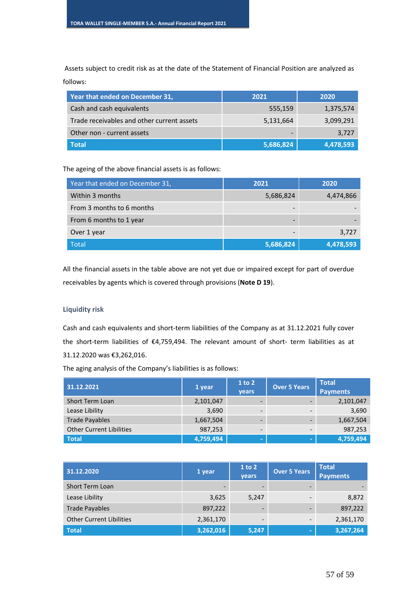Assets subject to credit risk as at the date of the Statement of Financial Position are analyzed as follows:

| Year that ended on December 31,            | 2021      | 2020      |
|--------------------------------------------|-----------|-----------|
| Cash and cash equivalents                  | 555,159   | 1,375,574 |
| Trade receivables and other current assets | 5,131,664 | 3,099,291 |
| Other non - current assets                 |           | 3,727     |
| <b>Total</b>                               | 5,686,824 | 4,478,593 |

The ageing of the above financial assets is as follows:

| Year that ended on December 31, | 2021      | 2020      |
|---------------------------------|-----------|-----------|
| Within 3 months                 | 5,686,824 | 4,474,866 |
| From 3 months to 6 months       |           |           |
| From 6 months to 1 year         |           |           |
| Over 1 year                     |           | 3,727     |
| <b>Total</b>                    | 5,686,824 | 4,478,593 |

All the financial assets in the table above are not yet due or impaired except for part of overdue receivables by agents which is covered through provisions (**Note D 19**).

# **Liquidity risk**

Cash and cash equivalents and short-term liabilities of the Company as at 31.12.2021 fully cover the short-term liabilities of €4,759,494. The relevant amount of short- term liabilities as at 31.12.2020 was €3,262,016.

The aging analysis of the Company's liabilities is as follows:

| 31.12.2021                      | 1 year    | 1 to 2<br><b>vears</b>       | <b>Over 5 Years</b>      | <b>Total</b><br><b>Payments</b> |
|---------------------------------|-----------|------------------------------|--------------------------|---------------------------------|
| <b>Short Term Loan</b>          | 2,101,047 |                              | $\overline{\phantom{0}}$ | 2,101,047                       |
| Lease Libility                  | 3,690     | $\overline{\phantom{a}}$     |                          | 3,690                           |
| <b>Trade Payables</b>           | 1,667,504 | $\overline{\phantom{0}}$     | $\overline{\phantom{0}}$ | 1,667,504                       |
| <b>Other Current Libilities</b> | 987,253   | $\qquad \qquad \blacksquare$ | $\overline{\phantom{a}}$ | 987,253                         |
| <b>Total</b>                    | 4,759,494 | $\sim$                       | $\sim$                   | 4,759,494                       |

| 31.12.2020                      | 1 year    | 1 to 2<br><b>vears</b> | <b>Over 5 Years</b> | <b>Total</b><br><b>Payments</b> |
|---------------------------------|-----------|------------------------|---------------------|---------------------------------|
| <b>Short Term Loan</b>          |           |                        |                     |                                 |
| Lease Libility                  | 3,625     | 5,247                  |                     | 8,872                           |
| <b>Trade Payables</b>           | 897,222   |                        |                     | 897,222                         |
| <b>Other Current Libilities</b> | 2,361,170 |                        |                     | 2,361,170                       |
| <b>Total</b>                    | 3,262,016 | 5,247                  | $\sim$              | 3,267,264                       |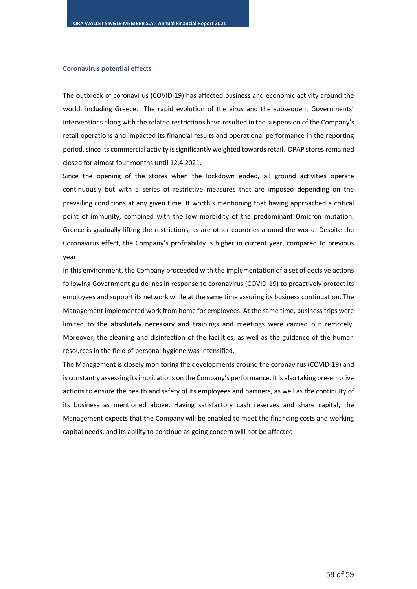#### **Coronavirus potential effects**

The outbreak of coronavirus (COVID-19) has affected business and economic activity around the world, including Greece. The rapid evolution of the virus and the subsequent Governments' interventions along with the related restrictions have resulted in the suspension of the Company's retail operations and impacted its financial results and operational performance in the reporting period, since its commercial activity is significantly weighted towards retail. OPAP stores remained closed for almost four months until 12.4.2021.

Since the opening of the stores when the lockdown ended, all ground activities operate continuously but with a series of restrictive measures that are imposed depending on the prevailing conditions at any given time. It worth's mentioning that having approached a critical point of immunity, combined with the low morbidity of the predominant Omicron mutation, Greece is gradually lifting the restrictions, as are other countries around the world. Despite the Coronavirus effect, the Company's profitability is higher in current year, compared to previous year.

In this environment, the Company proceeded with the implementation of a set of decisive actions following Government guidelines in response to coronavirus (COVID-19) to proactively protect its employees and support its network while at the same time assuring its business continuation. The Management implemented work from home for employees. At the same time, business trips were limited to the absolutely necessary and trainings and meetings were carried out remotely. Moreover, the cleaning and disinfection of the facilities, as well as the guidance of the human resources in the field of personal hygiene was intensified.

The Management is closely monitoring the developments around the coronavirus (COVID‐19) and is constantly assessing its implications on the Company's performance. It is also taking pre-emptive actions to ensure the health and safety of its employees and partners, as well as the continuity of its business as mentioned above. Having satisfactory cash reserves and share capital, the Management expects that the Company will be enabled to meet the financing costs and working capital needs, and its ability to continue as going concern will not be affected.